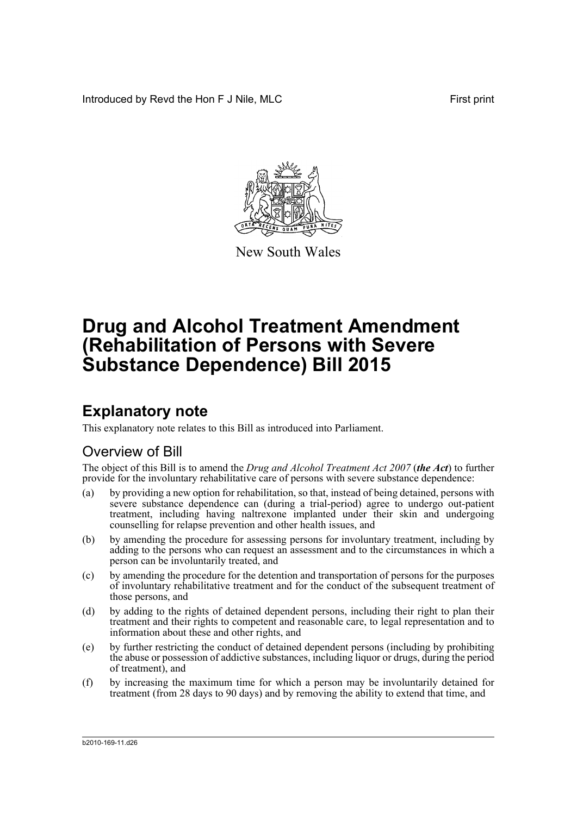Introduced by Revd the Hon F J Nile, MLC First print



New South Wales

# **Drug and Alcohol Treatment Amendment (Rehabilitation of Persons with Severe Substance Dependence) Bill 2015**

## **Explanatory note**

This explanatory note relates to this Bill as introduced into Parliament.

## Overview of Bill

The object of this Bill is to amend the *Drug and Alcohol Treatment Act 2007* (*the Act*) to further provide for the involuntary rehabilitative care of persons with severe substance dependence:

- (a) by providing a new option for rehabilitation, so that, instead of being detained, persons with severe substance dependence can (during a trial-period) agree to undergo out-patient treatment, including having naltrexone implanted under their skin and undergoing counselling for relapse prevention and other health issues, and
- (b) by amending the procedure for assessing persons for involuntary treatment, including by adding to the persons who can request an assessment and to the circumstances in which a person can be involuntarily treated, and
- (c) by amending the procedure for the detention and transportation of persons for the purposes of involuntary rehabilitative treatment and for the conduct of the subsequent treatment of those persons, and
- (d) by adding to the rights of detained dependent persons, including their right to plan their treatment and their rights to competent and reasonable care, to legal representation and to information about these and other rights, and
- (e) by further restricting the conduct of detained dependent persons (including by prohibiting the abuse or possession of addictive substances, including liquor or drugs, during the period of treatment), and
- (f) by increasing the maximum time for which a person may be involuntarily detained for treatment (from 28 days to 90 days) and by removing the ability to extend that time, and

b2010-169-11.d26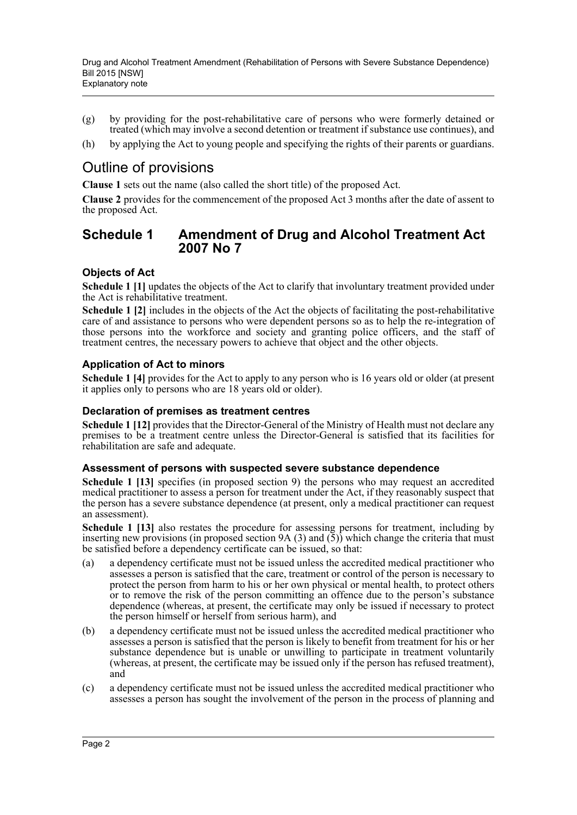- (g) by providing for the post-rehabilitative care of persons who were formerly detained or treated (which may involve a second detention or treatment if substance use continues), and
- (h) by applying the Act to young people and specifying the rights of their parents or guardians.

## Outline of provisions

**Clause 1** sets out the name (also called the short title) of the proposed Act.

**Clause 2** provides for the commencement of the proposed Act 3 months after the date of assent to the proposed Act.

## **Schedule 1 Amendment of Drug and Alcohol Treatment Act 2007 No 7**

## **Objects of Act**

**Schedule 1** [1] updates the objects of the Act to clarify that involuntary treatment provided under the Act is rehabilitative treatment.

**Schedule 1 [2]** includes in the objects of the Act the objects of facilitating the post-rehabilitative care of and assistance to persons who were dependent persons so as to help the re-integration of those persons into the workforce and society and granting police officers, and the staff of treatment centres, the necessary powers to achieve that object and the other objects.

## **Application of Act to minors**

**Schedule 1 [4]** provides for the Act to apply to any person who is 16 years old or older (at present it applies only to persons who are 18 years old or older).

### **Declaration of premises as treatment centres**

**Schedule 1 [12]** provides that the Director-General of the Ministry of Health must not declare any premises to be a treatment centre unless the Director-General is satisfied that its facilities for rehabilitation are safe and adequate.

### **Assessment of persons with suspected severe substance dependence**

**Schedule 1 [13]** specifies (in proposed section 9) the persons who may request an accredited medical practitioner to assess a person for treatment under the Act, if they reasonably suspect that the person has a severe substance dependence (at present, only a medical practitioner can request an assessment).

**Schedule 1 [13]** also restates the procedure for assessing persons for treatment, including by inserting new provisions (in proposed section 9A (3) and  $(5)$ ) which change the criteria that must be satisfied before a dependency certificate can be issued, so that:

- (a) a dependency certificate must not be issued unless the accredited medical practitioner who assesses a person is satisfied that the care, treatment or control of the person is necessary to protect the person from harm to his or her own physical or mental health, to protect others or to remove the risk of the person committing an offence due to the person's substance dependence (whereas, at present, the certificate may only be issued if necessary to protect the person himself or herself from serious harm), and
- (b) a dependency certificate must not be issued unless the accredited medical practitioner who assesses a person is satisfied that the person is likely to benefit from treatment for his or her substance dependence but is unable or unwilling to participate in treatment voluntarily (whereas, at present, the certificate may be issued only if the person has refused treatment), and
- (c) a dependency certificate must not be issued unless the accredited medical practitioner who assesses a person has sought the involvement of the person in the process of planning and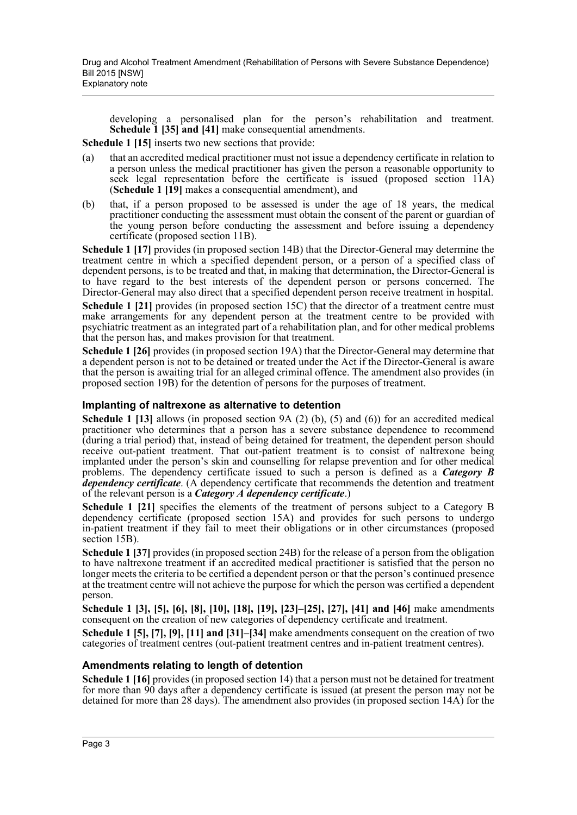developing a personalised plan for the person's rehabilitation and treatment. **Schedule 1 [35] and [41]** make consequential amendments.

**Schedule 1 [15]** inserts two new sections that provide:

- (a) that an accredited medical practitioner must not issue a dependency certificate in relation to a person unless the medical practitioner has given the person a reasonable opportunity to seek legal representation before the certificate is issued (proposed section 11A) (**Schedule 1 [19]** makes a consequential amendment), and
- (b) that, if a person proposed to be assessed is under the age of 18 years, the medical practitioner conducting the assessment must obtain the consent of the parent or guardian of the young person before conducting the assessment and before issuing a dependency certificate (proposed section 11B).

**Schedule 1 [17]** provides (in proposed section 14B) that the Director-General may determine the treatment centre in which a specified dependent person, or a person of a specified class of dependent persons, is to be treated and that, in making that determination, the Director-General is to have regard to the best interests of the dependent person or persons concerned. The Director-General may also direct that a specified dependent person receive treatment in hospital.

**Schedule 1 [21]** provides (in proposed section 15C) that the director of a treatment centre must make arrangements for any dependent person at the treatment centre to be provided with psychiatric treatment as an integrated part of a rehabilitation plan, and for other medical problems that the person has, and makes provision for that treatment.

**Schedule 1 [26]** provides (in proposed section 19A) that the Director-General may determine that a dependent person is not to be detained or treated under the Act if the Director-General is aware that the person is awaiting trial for an alleged criminal offence. The amendment also provides (in proposed section 19B) for the detention of persons for the purposes of treatment.

### **Implanting of naltrexone as alternative to detention**

**Schedule 1 [13]** allows (in proposed section 9A (2) (b), (5) and (6)) for an accredited medical practitioner who determines that a person has a severe substance dependence to recommend (during a trial period) that, instead of being detained for treatment, the dependent person should receive out-patient treatment. That out-patient treatment is to consist of naltrexone being implanted under the person's skin and counselling for relapse prevention and for other medical problems. The dependency certificate issued to such a person is defined as a *Category B dependency certificate*. (A dependency certificate that recommends the detention and treatment of the relevant person is a *Category A dependency certificate*.)

**Schedule 1 [21]** specifies the elements of the treatment of persons subject to a Category B dependency certificate (proposed section 15A) and provides for such persons to undergo in-patient treatment if they fail to meet their obligations or in other circumstances (proposed section 15B).

**Schedule 1 [37]** provides (in proposed section 24B) for the release of a person from the obligation to have naltrexone treatment if an accredited medical practitioner is satisfied that the person no longer meets the criteria to be certified a dependent person or that the person's continued presence at the treatment centre will not achieve the purpose for which the person was certified a dependent person.

**Schedule 1 [3], [5], [6], [8], [10], [18], [19], [23]–[25], [27], [41] and [46]** make amendments consequent on the creation of new categories of dependency certificate and treatment.

**Schedule 1 [5], [7], [9], [11] and [31]–[34]** make amendments consequent on the creation of two categories of treatment centres (out-patient treatment centres and in-patient treatment centres).

### **Amendments relating to length of detention**

**Schedule 1 [16]** provides (in proposed section 14) that a person must not be detained for treatment for more than 90 days after a dependency certificate is issued (at present the person may not be detained for more than 28 days). The amendment also provides (in proposed section 14A) for the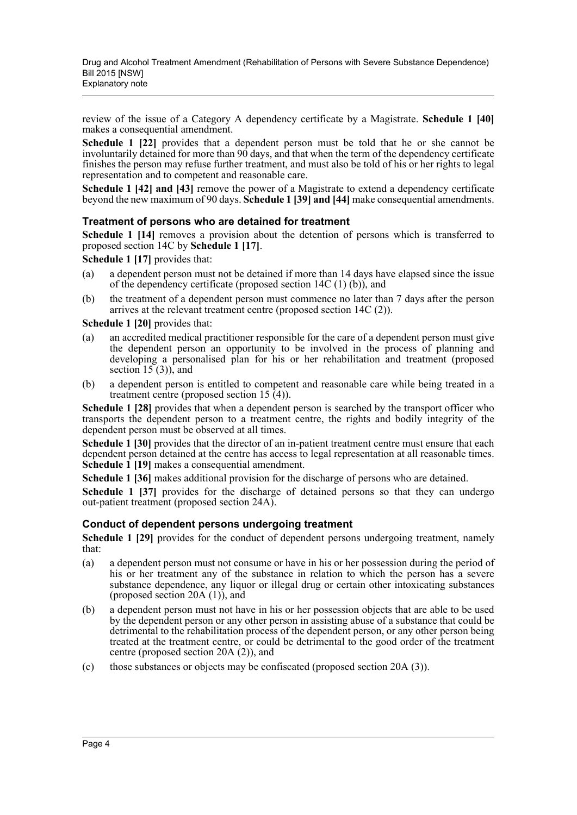review of the issue of a Category A dependency certificate by a Magistrate. **Schedule 1 [40]** makes a consequential amendment.

**Schedule 1 [22]** provides that a dependent person must be told that he or she cannot be involuntarily detained for more than 90 days, and that when the term of the dependency certificate finishes the person may refuse further treatment, and must also be told of his or her rights to legal representation and to competent and reasonable care.

**Schedule 1 [42] and [43]** remove the power of a Magistrate to extend a dependency certificate beyond the new maximum of 90 days. **Schedule 1 [39] and [44]** make consequential amendments.

### **Treatment of persons who are detained for treatment**

**Schedule 1 [14]** removes a provision about the detention of persons which is transferred to proposed section 14C by **Schedule 1 [17]**.

**Schedule 1 [17]** provides that:

- (a) a dependent person must not be detained if more than 14 days have elapsed since the issue of the dependency certificate (proposed section 14C (1) (b)), and
- (b) the treatment of a dependent person must commence no later than 7 days after the person arrives at the relevant treatment centre (proposed section 14C (2)).

### **Schedule 1 [20]** provides that:

- (a) an accredited medical practitioner responsible for the care of a dependent person must give the dependent person an opportunity to be involved in the process of planning and developing a personalised plan for his or her rehabilitation and treatment (proposed section  $15(3)$ , and
- (b) a dependent person is entitled to competent and reasonable care while being treated in a treatment centre (proposed section 15 (4)).

**Schedule 1 [28]** provides that when a dependent person is searched by the transport officer who transports the dependent person to a treatment centre, the rights and bodily integrity of the dependent person must be observed at all times.

**Schedule 1 [30]** provides that the director of an in-patient treatment centre must ensure that each dependent person detained at the centre has access to legal representation at all reasonable times. **Schedule 1 [19]** makes a consequential amendment.

**Schedule 1 [36]** makes additional provision for the discharge of persons who are detained.

**Schedule 1 [37]** provides for the discharge of detained persons so that they can undergo out-patient treatment (proposed section 24A).

### **Conduct of dependent persons undergoing treatment**

**Schedule 1 [29]** provides for the conduct of dependent persons undergoing treatment, namely that:

- (a) a dependent person must not consume or have in his or her possession during the period of his or her treatment any of the substance in relation to which the person has a severe substance dependence, any liquor or illegal drug or certain other intoxicating substances (proposed section 20A (1)), and
- (b) a dependent person must not have in his or her possession objects that are able to be used by the dependent person or any other person in assisting abuse of a substance that could be detrimental to the rehabilitation process of the dependent person, or any other person being treated at the treatment centre, or could be detrimental to the good order of the treatment centre (proposed section 20A (2)), and
- (c) those substances or objects may be confiscated (proposed section 20A (3)).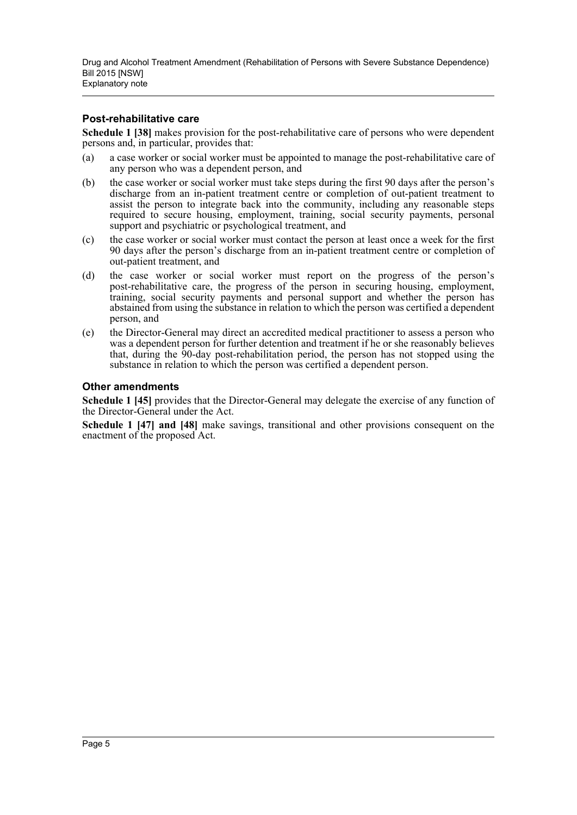### **Post-rehabilitative care**

**Schedule 1 [38]** makes provision for the post-rehabilitative care of persons who were dependent persons and, in particular, provides that:

- (a) a case worker or social worker must be appointed to manage the post-rehabilitative care of any person who was a dependent person, and
- (b) the case worker or social worker must take steps during the first 90 days after the person's discharge from an in-patient treatment centre or completion of out-patient treatment to assist the person to integrate back into the community, including any reasonable steps required to secure housing, employment, training, social security payments, personal support and psychiatric or psychological treatment, and
- (c) the case worker or social worker must contact the person at least once a week for the first 90 days after the person's discharge from an in-patient treatment centre or completion of out-patient treatment, and
- (d) the case worker or social worker must report on the progress of the person's post-rehabilitative care, the progress of the person in securing housing, employment, training, social security payments and personal support and whether the person has abstained from using the substance in relation to which the person was certified a dependent person, and
- (e) the Director-General may direct an accredited medical practitioner to assess a person who was a dependent person for further detention and treatment if he or she reasonably believes that, during the 90-day post-rehabilitation period, the person has not stopped using the substance in relation to which the person was certified a dependent person.

### **Other amendments**

**Schedule 1 [45]** provides that the Director-General may delegate the exercise of any function of the Director-General under the Act.

**Schedule 1 [47] and [48]** make savings, transitional and other provisions consequent on the enactment of the proposed Act.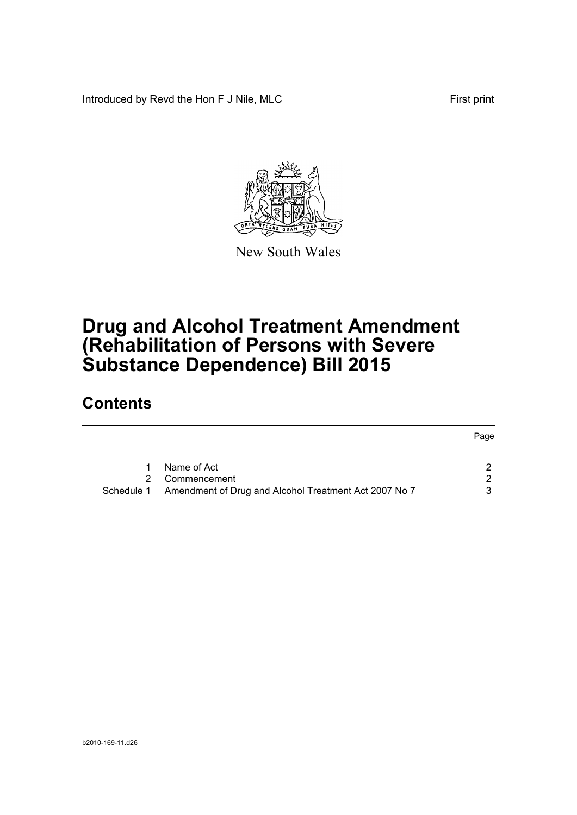Introduced by Revd the Hon F J Nile, MLC First print



New South Wales

# **Drug and Alcohol Treatment Amendment (Rehabilitation of Persons with Severe Substance Dependence) Bill 2015**

## **Contents**

|            |                                                       | Page |
|------------|-------------------------------------------------------|------|
|            | Name of Act                                           |      |
|            |                                                       |      |
| 2.         | Commencement                                          | 2    |
| Schedule 1 | Amendment of Drug and Alcohol Treatment Act 2007 No 7 | 3    |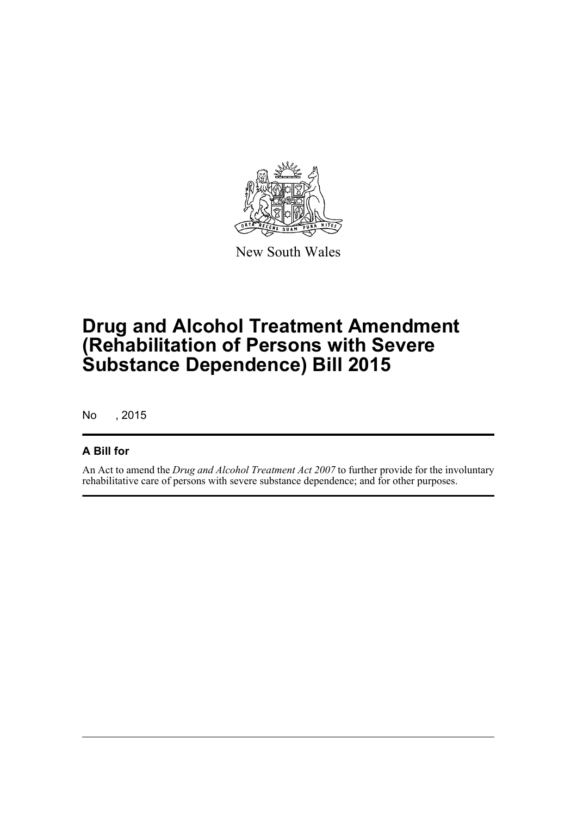

New South Wales

# **Drug and Alcohol Treatment Amendment (Rehabilitation of Persons with Severe Substance Dependence) Bill 2015**

No , 2015

## **A Bill for**

An Act to amend the *Drug and Alcohol Treatment Act 2007* to further provide for the involuntary rehabilitative care of persons with severe substance dependence; and for other purposes.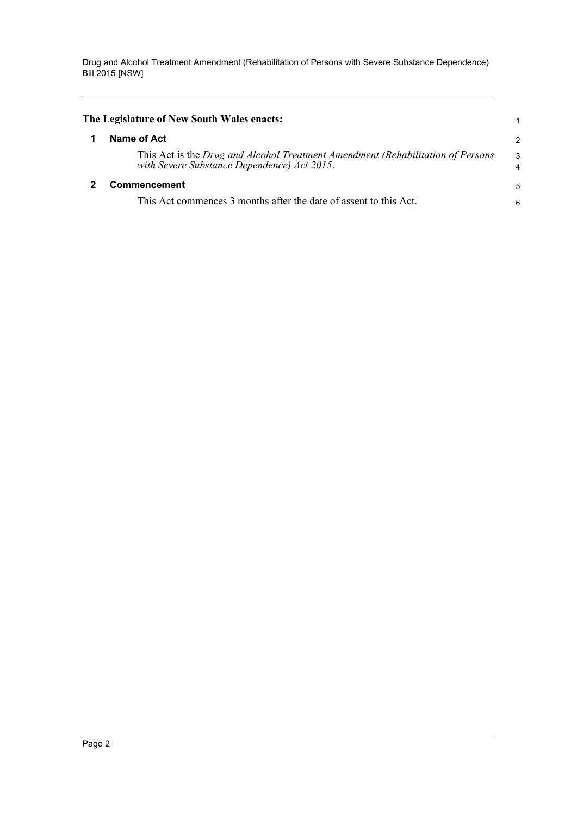<span id="page-7-1"></span><span id="page-7-0"></span>

| The Legislature of New South Wales enacts:                                                                                     |                |
|--------------------------------------------------------------------------------------------------------------------------------|----------------|
| Name of Act                                                                                                                    | $\overline{c}$ |
| This Act is the Drug and Alcohol Treatment Amendment (Rehabilitation of Persons<br>with Severe Substance Dependence) Act 2015. | 3<br>4         |
| Commencement                                                                                                                   | 5              |
| This Act commences 3 months after the date of assent to this Act.                                                              | 6              |
|                                                                                                                                |                |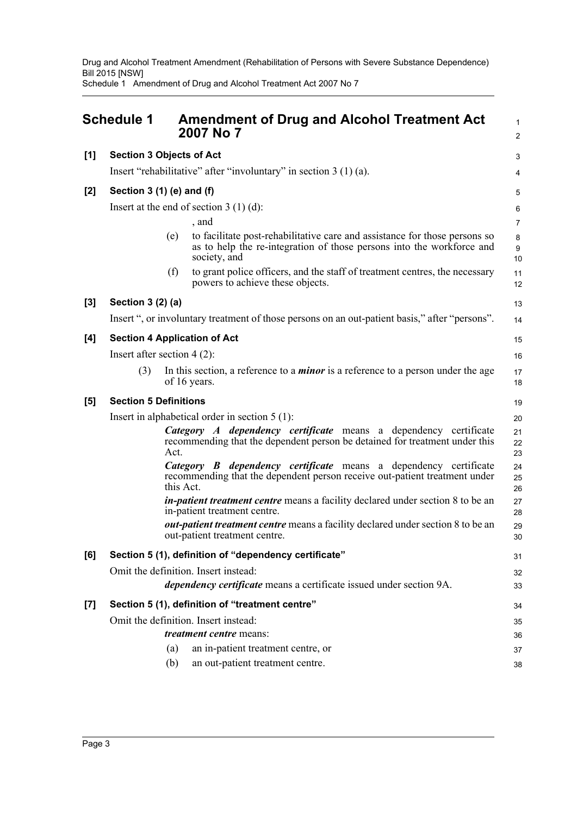Drug and Alcohol Treatment Amendment (Rehabilitation of Persons with Severe Substance Dependence) Bill 2015 [NSW] Schedule 1 Amendment of Drug and Alcohol Treatment Act 2007 No 7

<span id="page-8-0"></span>

|       | <b>Schedule 1</b>                                                  |           | <b>Amendment of Drug and Alcohol Treatment Act</b><br>2007 No 7                                                                                                     | $\mathbf{1}$<br>$\overline{2}$ |  |  |
|-------|--------------------------------------------------------------------|-----------|---------------------------------------------------------------------------------------------------------------------------------------------------------------------|--------------------------------|--|--|
| [1]   | <b>Section 3 Objects of Act</b>                                    |           |                                                                                                                                                                     | 3                              |  |  |
|       | Insert "rehabilitative" after "involuntary" in section $3(1)(a)$ . |           |                                                                                                                                                                     |                                |  |  |
| $[2]$ | Section $3(1)$ (e) and (f)                                         |           |                                                                                                                                                                     | 5                              |  |  |
|       |                                                                    |           | Insert at the end of section $3(1)(d)$ :                                                                                                                            | 6                              |  |  |
|       |                                                                    |           | , and                                                                                                                                                               | $\overline{7}$                 |  |  |
|       |                                                                    | (e)       | to facilitate post-rehabilitative care and assistance for those persons so<br>as to help the re-integration of those persons into the workforce and<br>society, and | 8<br>$\boldsymbol{9}$<br>10    |  |  |
|       |                                                                    | (f)       | to grant police officers, and the staff of treatment centres, the necessary<br>powers to achieve these objects.                                                     | 11<br>12                       |  |  |
| $[3]$ | Section 3 (2) (a)                                                  |           |                                                                                                                                                                     | 13                             |  |  |
|       |                                                                    |           | Insert ", or involuntary treatment of those persons on an out-patient basis," after "persons".                                                                      | 14                             |  |  |
| [4]   |                                                                    |           | <b>Section 4 Application of Act</b>                                                                                                                                 | 15                             |  |  |
|       | Insert after section $4(2)$ :                                      |           |                                                                                                                                                                     | 16                             |  |  |
|       | (3)                                                                |           | In this section, a reference to a <i>minor</i> is a reference to a person under the age<br>of 16 years.                                                             | 17<br>18                       |  |  |
| [5]   | <b>Section 5 Definitions</b>                                       |           |                                                                                                                                                                     | 19                             |  |  |
|       |                                                                    |           | Insert in alphabetical order in section $5(1)$ :                                                                                                                    | 20                             |  |  |
|       |                                                                    | Act.      | Category A dependency certificate means a dependency certificate<br>recommending that the dependent person be detained for treatment under this                     | 21<br>22<br>23                 |  |  |
|       |                                                                    | this Act. | Category B dependency certificate means a dependency certificate<br>recommending that the dependent person receive out-patient treatment under                      | 24<br>25<br>26                 |  |  |
|       |                                                                    |           | <i>in-patient treatment centre</i> means a facility declared under section 8 to be an<br>in-patient treatment centre.                                               | 27<br>28                       |  |  |
|       |                                                                    |           | <i>out-patient treatment centre</i> means a facility declared under section 8 to be an<br>out-patient treatment centre.                                             | 29<br>30                       |  |  |
| [6]   |                                                                    |           | Section 5 (1), definition of "dependency certificate"                                                                                                               | 31                             |  |  |
|       |                                                                    |           | Omit the definition. Insert instead:                                                                                                                                | 32                             |  |  |
|       |                                                                    |           | <i>dependency certificate</i> means a certificate issued under section 9A.                                                                                          | 33                             |  |  |
| $[7]$ |                                                                    |           | Section 5 (1), definition of "treatment centre"                                                                                                                     | 34                             |  |  |
|       |                                                                    |           | Omit the definition. Insert instead:                                                                                                                                | 35                             |  |  |
|       |                                                                    |           | <i>treatment centre</i> means:                                                                                                                                      | 36                             |  |  |
|       |                                                                    | (a)       | an in-patient treatment centre, or                                                                                                                                  | 37                             |  |  |
|       |                                                                    | (b)       | an out-patient treatment centre.                                                                                                                                    | 38                             |  |  |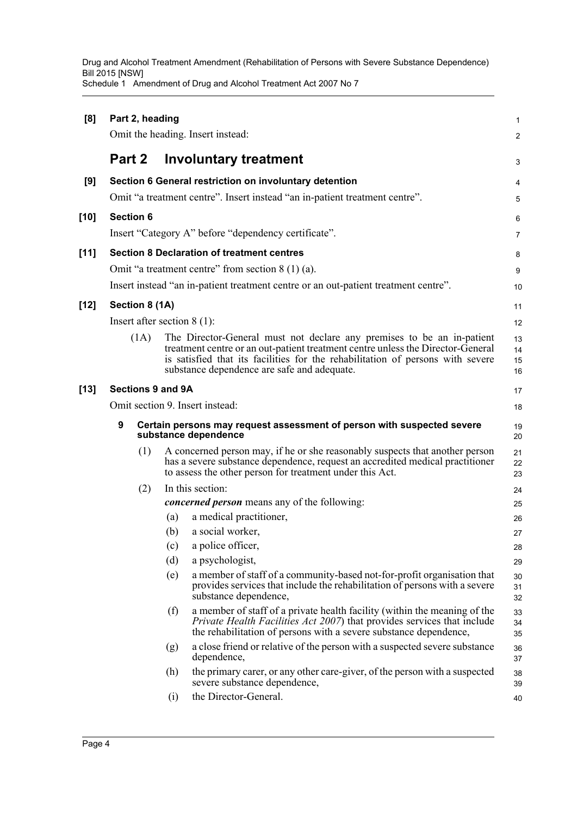| [8]    | Part 2, heading<br>Omit the heading. Insert instead: |                  |                                                                                                |                                                                                                                                                                                                                                                                                            |                      |  |  |
|--------|------------------------------------------------------|------------------|------------------------------------------------------------------------------------------------|--------------------------------------------------------------------------------------------------------------------------------------------------------------------------------------------------------------------------------------------------------------------------------------------|----------------------|--|--|
|        | Part 2                                               |                  |                                                                                                | <b>Involuntary treatment</b>                                                                                                                                                                                                                                                               | 3                    |  |  |
| [9]    |                                                      |                  |                                                                                                | Section 6 General restriction on involuntary detention                                                                                                                                                                                                                                     | 4                    |  |  |
|        |                                                      |                  |                                                                                                | Omit "a treatment centre". Insert instead "an in-patient treatment centre".                                                                                                                                                                                                                | 5                    |  |  |
| [10]   |                                                      | <b>Section 6</b> |                                                                                                |                                                                                                                                                                                                                                                                                            | 6                    |  |  |
|        |                                                      |                  |                                                                                                | Insert "Category A" before "dependency certificate".                                                                                                                                                                                                                                       | 7                    |  |  |
| $[11]$ |                                                      |                  |                                                                                                | <b>Section 8 Declaration of treatment centres</b>                                                                                                                                                                                                                                          |                      |  |  |
|        |                                                      |                  |                                                                                                | Omit "a treatment centre" from section $8(1)(a)$ .                                                                                                                                                                                                                                         | 8                    |  |  |
|        |                                                      |                  |                                                                                                |                                                                                                                                                                                                                                                                                            | 9                    |  |  |
|        |                                                      |                  |                                                                                                | Insert instead "an in-patient treatment centre or an out-patient treatment centre".                                                                                                                                                                                                        | 10                   |  |  |
| [12]   |                                                      | Section 8 (1A)   |                                                                                                |                                                                                                                                                                                                                                                                                            | 11                   |  |  |
|        |                                                      |                  |                                                                                                | Insert after section $8(1)$ :                                                                                                                                                                                                                                                              | 12                   |  |  |
|        |                                                      | (1A)             |                                                                                                | The Director-General must not declare any premises to be an in-patient<br>treatment centre or an out-patient treatment centre unless the Director-General<br>is satisfied that its facilities for the rehabilitation of persons with severe<br>substance dependence are safe and adequate. | 13<br>14<br>15<br>16 |  |  |
| $[13]$ |                                                      |                  | <b>Sections 9 and 9A</b>                                                                       |                                                                                                                                                                                                                                                                                            | 17                   |  |  |
|        | Omit section 9. Insert instead:                      |                  |                                                                                                |                                                                                                                                                                                                                                                                                            |                      |  |  |
|        | 9                                                    |                  | Certain persons may request assessment of person with suspected severe<br>substance dependence |                                                                                                                                                                                                                                                                                            |                      |  |  |
|        |                                                      | (1)              |                                                                                                | A concerned person may, if he or she reasonably suspects that another person<br>has a severe substance dependence, request an accredited medical practitioner<br>to assess the other person for treatment under this Act.                                                                  | 21<br>22<br>23       |  |  |
|        |                                                      | (2)              |                                                                                                | In this section:                                                                                                                                                                                                                                                                           | 24                   |  |  |
|        |                                                      |                  |                                                                                                | <i>concerned person</i> means any of the following:                                                                                                                                                                                                                                        | 25                   |  |  |
|        |                                                      |                  | (a)                                                                                            | a medical practitioner,                                                                                                                                                                                                                                                                    | 26                   |  |  |
|        |                                                      |                  | (b)                                                                                            | a social worker,                                                                                                                                                                                                                                                                           | 27                   |  |  |
|        |                                                      |                  |                                                                                                | (c) a police officer,                                                                                                                                                                                                                                                                      | 28                   |  |  |
|        |                                                      |                  | (d)                                                                                            | a psychologist,                                                                                                                                                                                                                                                                            | 29                   |  |  |
|        |                                                      |                  | (e)                                                                                            | a member of staff of a community-based not-for-profit organisation that<br>provides services that include the rehabilitation of persons with a severe<br>substance dependence,                                                                                                             | 30<br>31<br>32       |  |  |
|        |                                                      |                  | (f)                                                                                            | a member of staff of a private health facility (within the meaning of the<br><i>Private Health Facilities Act 2007</i> ) that provides services that include<br>the rehabilitation of persons with a severe substance dependence,                                                          | 33<br>34<br>35       |  |  |
|        |                                                      |                  | (g)                                                                                            | a close friend or relative of the person with a suspected severe substance<br>dependence,                                                                                                                                                                                                  | 36<br>37             |  |  |
|        |                                                      |                  | (h)                                                                                            | the primary carer, or any other care-giver, of the person with a suspected<br>severe substance dependence,                                                                                                                                                                                 | 38<br>39             |  |  |
|        |                                                      |                  | (i)                                                                                            | the Director-General.                                                                                                                                                                                                                                                                      | 40                   |  |  |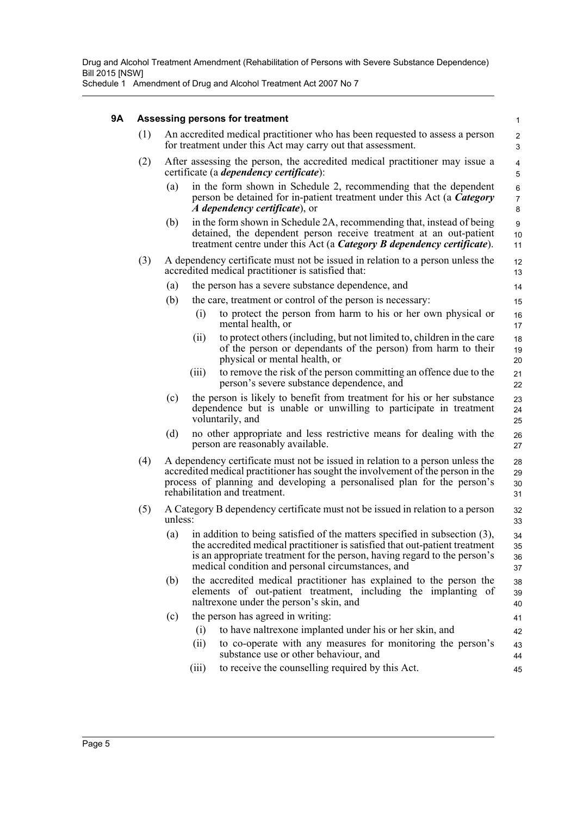Schedule 1 Amendment of Drug and Alcohol Treatment Act 2007 No 7

### **9A Assessing persons for treatment**

|     |         | Assessing persons for treatment                                                                                                                                                                                                                                                             | $\mathbf{1}$             |
|-----|---------|---------------------------------------------------------------------------------------------------------------------------------------------------------------------------------------------------------------------------------------------------------------------------------------------|--------------------------|
| (1) |         | An accredited medical practitioner who has been requested to assess a person<br>for treatment under this Act may carry out that assessment.                                                                                                                                                 | $\mathbf{2}$<br>3        |
| (2) |         | After assessing the person, the accredited medical practitioner may issue a<br>certificate (a <i>dependency certificate</i> ):                                                                                                                                                              | 4<br>5                   |
|     | (a)     | in the form shown in Schedule 2, recommending that the dependent<br>person be detained for in-patient treatment under this Act (a Category<br>A dependency certificate), or                                                                                                                 | 6<br>$\overline{7}$<br>8 |
|     | (b)     | in the form shown in Schedule 2A, recommending that, instead of being<br>detained, the dependent person receive treatment at an out-patient<br>treatment centre under this Act (a Category B dependency certificate).                                                                       | 9<br>10<br>11            |
| (3) |         | A dependency certificate must not be issued in relation to a person unless the<br>accredited medical practitioner is satisfied that:                                                                                                                                                        | 12<br>13                 |
|     | (a)     | the person has a severe substance dependence, and                                                                                                                                                                                                                                           | 14                       |
|     | (b)     | the care, treatment or control of the person is necessary:                                                                                                                                                                                                                                  | 15                       |
|     |         | to protect the person from harm to his or her own physical or<br>(i)<br>mental health, or                                                                                                                                                                                                   | 16<br>17                 |
|     |         | to protect others (including, but not limited to, children in the care<br>(ii)<br>of the person or dependants of the person) from harm to their<br>physical or mental health, or                                                                                                            | 18<br>19<br>20           |
|     |         | to remove the risk of the person committing an offence due to the<br>(iii)<br>person's severe substance dependence, and                                                                                                                                                                     | 21<br>22                 |
|     | (c)     | the person is likely to benefit from treatment for his or her substance<br>dependence but is unable or unwilling to participate in treatment<br>voluntarily, and                                                                                                                            | 23<br>24<br>25           |
|     | (d)     | no other appropriate and less restrictive means for dealing with the<br>person are reasonably available.                                                                                                                                                                                    | 26<br>27                 |
| (4) |         | A dependency certificate must not be issued in relation to a person unless the<br>accredited medical practitioner has sought the involvement of the person in the<br>process of planning and developing a personalised plan for the person's<br>rehabilitation and treatment.               | 28<br>29<br>30<br>31     |
| (5) | unless: | A Category B dependency certificate must not be issued in relation to a person                                                                                                                                                                                                              | 32<br>33                 |
|     | (a)     | in addition to being satisfied of the matters specified in subsection (3),<br>the accredited medical practitioner is satisfied that out-patient treatment<br>is an appropriate treatment for the person, having regard to the person's<br>medical condition and personal circumstances, and | 34<br>35<br>36<br>37     |
|     | (b)     | the accredited medical practitioner has explained to the person the<br>elements of out-patient treatment, including the implanting of<br>naltrexone under the person's skin, and                                                                                                            | 38<br>39<br>40           |
|     | (c)     | the person has agreed in writing:                                                                                                                                                                                                                                                           | 41                       |
|     |         | to have naltrexone implanted under his or her skin, and<br>(i)                                                                                                                                                                                                                              | 42                       |
|     |         | (ii)<br>to co-operate with any measures for monitoring the person's<br>substance use or other behaviour, and                                                                                                                                                                                | 43<br>44                 |
|     |         | to receive the counselling required by this Act.<br>(iii)                                                                                                                                                                                                                                   | 45                       |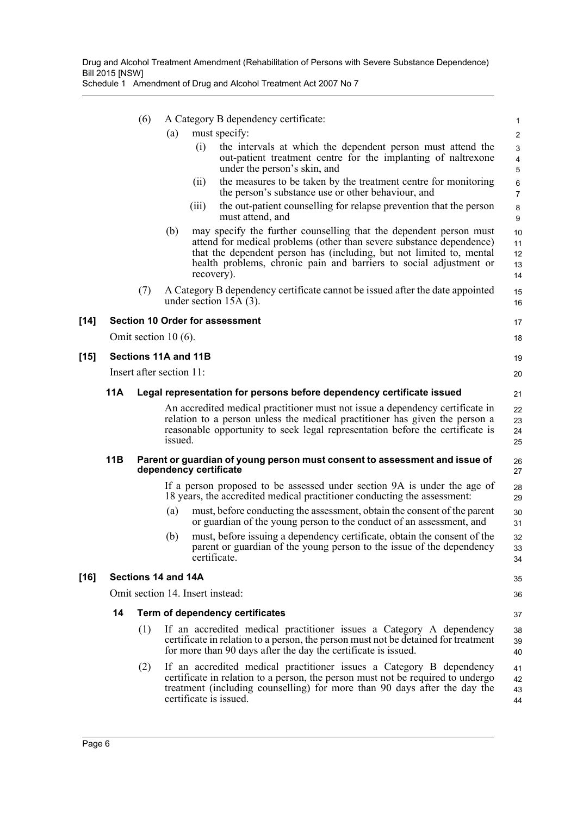|        |     | (6)                      |         | A Category B dependency certificate:                                                                                                                                                                                                                                                                   | 1                          |
|--------|-----|--------------------------|---------|--------------------------------------------------------------------------------------------------------------------------------------------------------------------------------------------------------------------------------------------------------------------------------------------------------|----------------------------|
|        |     |                          | (a)     | must specify:                                                                                                                                                                                                                                                                                          | $\overline{2}$             |
|        |     |                          |         | the intervals at which the dependent person must attend the<br>(i)<br>out-patient treatment centre for the implanting of naltrexone<br>under the person's skin, and                                                                                                                                    | 3<br>$\overline{4}$<br>5   |
|        |     |                          |         | the measures to be taken by the treatment centre for monitoring<br>(11)<br>the person's substance use or other behaviour, and                                                                                                                                                                          | 6<br>$\overline{7}$        |
|        |     |                          |         | the out-patient counselling for relapse prevention that the person<br>(111)<br>must attend, and                                                                                                                                                                                                        | 8<br>9                     |
|        |     |                          | (b)     | may specify the further counselling that the dependent person must<br>attend for medical problems (other than severe substance dependence)<br>that the dependent person has (including, but not limited to, mental<br>health problems, chronic pain and barriers to social adjustment or<br>recovery). | 10<br>11<br>12<br>13<br>14 |
|        |     | (7)                      |         | A Category B dependency certificate cannot be issued after the date appointed<br>under section $15A(3)$ .                                                                                                                                                                                              | 15<br>16                   |
| $[14]$ |     |                          |         | <b>Section 10 Order for assessment</b>                                                                                                                                                                                                                                                                 | 17                         |
|        |     | Omit section $10(6)$ .   |         |                                                                                                                                                                                                                                                                                                        | 18                         |
| $[15]$ |     | Sections 11A and 11B     |         |                                                                                                                                                                                                                                                                                                        | 19                         |
|        |     | Insert after section 11: |         |                                                                                                                                                                                                                                                                                                        | 20                         |
|        | 11A |                          |         | Legal representation for persons before dependency certificate issued                                                                                                                                                                                                                                  | 21                         |
|        |     |                          | issued. | An accredited medical practitioner must not issue a dependency certificate in<br>relation to a person unless the medical practitioner has given the person a<br>reasonable opportunity to seek legal representation before the certificate is                                                          | 22<br>23<br>24<br>25       |
|        | 11B |                          |         | Parent or guardian of young person must consent to assessment and issue of<br>dependency certificate                                                                                                                                                                                                   | 26<br>27                   |
|        |     |                          |         | If a person proposed to be assessed under section 9A is under the age of<br>18 years, the accredited medical practitioner conducting the assessment:                                                                                                                                                   | 28<br>29                   |
|        |     |                          | (a)     | must, before conducting the assessment, obtain the consent of the parent<br>or guardian of the young person to the conduct of an assessment, and                                                                                                                                                       | 30<br>31                   |
|        |     |                          | (b)     | must, before issuing a dependency certificate, obtain the consent of the<br>parent or guardian of the young person to the issue of the dependency<br>certificate.                                                                                                                                      | 32<br>33<br>34             |
| $[16]$ |     | Sections 14 and 14A      |         |                                                                                                                                                                                                                                                                                                        | 35                         |
|        |     |                          |         | Omit section 14. Insert instead:                                                                                                                                                                                                                                                                       | 36                         |
|        | 14  |                          |         | Term of dependency certificates                                                                                                                                                                                                                                                                        | 37                         |
|        |     | (1)                      |         | If an accredited medical practitioner issues a Category A dependency<br>certificate in relation to a person, the person must not be detained for treatment<br>for more than 90 days after the day the certificate is issued.                                                                           | 38<br>39<br>40             |
|        |     | (2)                      |         | If an accredited medical practitioner issues a Category B dependency<br>certificate in relation to a person, the person must not be required to undergo<br>treatment (including counselling) for more than 90 days after the day the<br>certificate is issued.                                         | 41<br>42<br>43<br>44       |
|        |     |                          |         |                                                                                                                                                                                                                                                                                                        |                            |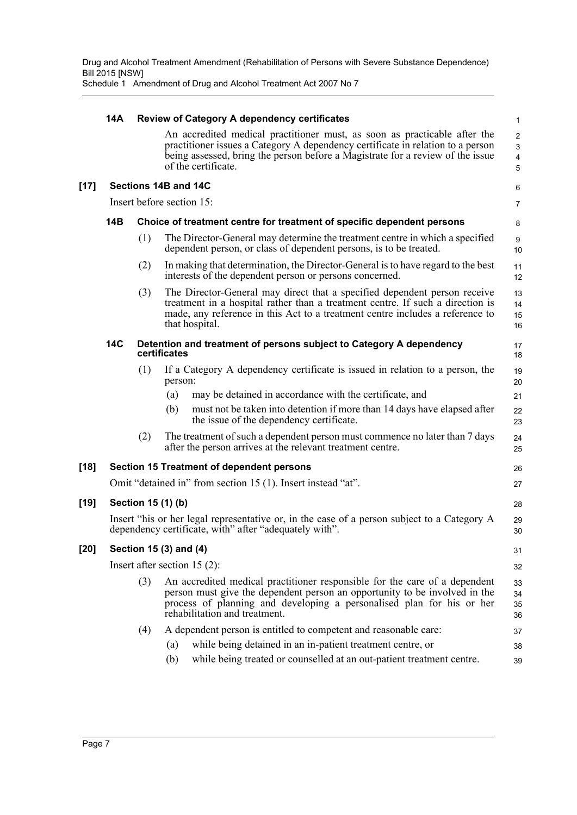|        | 14A |     | Review of Category A dependency certificates                                                                                                                                                                                                                          | $\mathbf{1}$                                         |
|--------|-----|-----|-----------------------------------------------------------------------------------------------------------------------------------------------------------------------------------------------------------------------------------------------------------------------|------------------------------------------------------|
|        |     |     | An accredited medical practitioner must, as soon as practicable after the<br>practitioner issues a Category A dependency certificate in relation to a person<br>being assessed, bring the person before a Magistrate for a review of the issue<br>of the certificate. | $\overline{2}$<br>$\mathsf 3$<br>$\overline{4}$<br>5 |
| $[17]$ |     |     | Sections 14B and 14C                                                                                                                                                                                                                                                  | 6                                                    |
|        |     |     | Insert before section 15:                                                                                                                                                                                                                                             | 7                                                    |
|        | 14B |     | Choice of treatment centre for treatment of specific dependent persons                                                                                                                                                                                                | 8                                                    |
|        |     | (1) | The Director-General may determine the treatment centre in which a specified<br>dependent person, or class of dependent persons, is to be treated.                                                                                                                    | 9<br>10                                              |
|        |     | (2) | In making that determination, the Director-General is to have regard to the best<br>interests of the dependent person or persons concerned.                                                                                                                           | 11<br>12                                             |
|        |     | (3) | The Director-General may direct that a specified dependent person receive<br>treatment in a hospital rather than a treatment centre. If such a direction is<br>made, any reference in this Act to a treatment centre includes a reference to<br>that hospital.        | 13<br>14<br>15<br>16                                 |
|        | 14C |     | Detention and treatment of persons subject to Category A dependency<br>certificates                                                                                                                                                                                   | 17<br>18                                             |
|        |     | (1) | If a Category A dependency certificate is issued in relation to a person, the<br>person:                                                                                                                                                                              | 19<br>20                                             |
|        |     |     | may be detained in accordance with the certificate, and<br>(a)<br>must not be taken into detention if more than 14 days have elapsed after<br>(b)<br>the issue of the dependency certificate.                                                                         | 21<br>22<br>23                                       |
|        |     | (2) | The treatment of such a dependent person must commence no later than 7 days<br>after the person arrives at the relevant treatment centre.                                                                                                                             | 24<br>25                                             |
| [18]   |     |     | <b>Section 15 Treatment of dependent persons</b>                                                                                                                                                                                                                      | 26                                                   |
|        |     |     | Omit "detained in" from section 15 (1). Insert instead "at".                                                                                                                                                                                                          | 27                                                   |
| [19]   |     |     | Section 15 (1) (b)                                                                                                                                                                                                                                                    | 28                                                   |
|        |     |     | Insert "his or her legal representative or, in the case of a person subject to a Category A<br>dependency certificate, with" after "adequately with".                                                                                                                 | 29<br>30                                             |
| [20]   |     |     | Section 15 (3) and (4)                                                                                                                                                                                                                                                | 31                                                   |
|        |     |     | Insert after section $15(2)$ :                                                                                                                                                                                                                                        | 32                                                   |
|        |     | (3) | An accredited medical practitioner responsible for the care of a dependent<br>person must give the dependent person an opportunity to be involved in the<br>process of planning and developing a personalised plan for his or her<br>rehabilitation and treatment.    | 33<br>34<br>35<br>36                                 |
|        |     | (4) | A dependent person is entitled to competent and reasonable care:                                                                                                                                                                                                      | 37                                                   |
|        |     |     | while being detained in an in-patient treatment centre, or<br>(a)                                                                                                                                                                                                     | 38                                                   |
|        |     |     | while being treated or counselled at an out-patient treatment centre.<br>(b)                                                                                                                                                                                          | 39                                                   |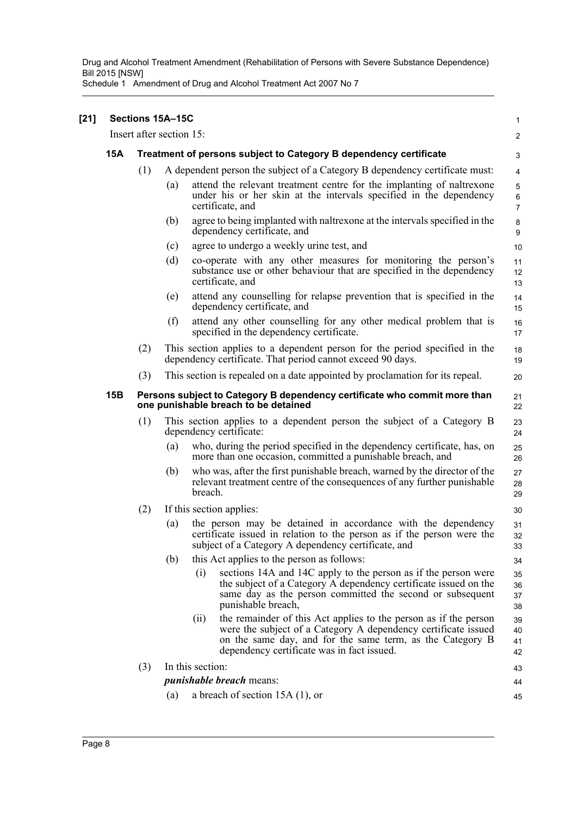| $[21]$ | Sections 15A-15C |                                                                                                                               |     |                                                                                                                                                                                                                                                       |                          |  |  |
|--------|------------------|-------------------------------------------------------------------------------------------------------------------------------|-----|-------------------------------------------------------------------------------------------------------------------------------------------------------------------------------------------------------------------------------------------------------|--------------------------|--|--|
|        |                  | Insert after section 15:                                                                                                      |     |                                                                                                                                                                                                                                                       | $\overline{2}$           |  |  |
|        | <b>15A</b>       |                                                                                                                               |     | Treatment of persons subject to Category B dependency certificate                                                                                                                                                                                     | 3                        |  |  |
|        |                  | (1)                                                                                                                           |     | A dependent person the subject of a Category B dependency certificate must:                                                                                                                                                                           | 4                        |  |  |
|        |                  |                                                                                                                               | (a) | attend the relevant treatment centre for the implanting of naltrexone<br>under his or her skin at the intervals specified in the dependency<br>certificate, and                                                                                       | 5<br>6<br>$\overline{7}$ |  |  |
|        |                  |                                                                                                                               | (b) | agree to being implanted with naltrexone at the intervals specified in the<br>dependency certificate, and                                                                                                                                             | 8<br>9                   |  |  |
|        |                  |                                                                                                                               | (c) | agree to undergo a weekly urine test, and                                                                                                                                                                                                             | 10                       |  |  |
|        |                  |                                                                                                                               | (d) | co-operate with any other measures for monitoring the person's<br>substance use or other behaviour that are specified in the dependency<br>certificate, and                                                                                           | 11<br>12<br>13           |  |  |
|        |                  |                                                                                                                               | (e) | attend any counselling for relapse prevention that is specified in the<br>dependency certificate, and                                                                                                                                                 | 14<br>15                 |  |  |
|        |                  |                                                                                                                               | (f) | attend any other counselling for any other medical problem that is<br>specified in the dependency certificate.                                                                                                                                        | 16<br>17                 |  |  |
|        |                  | (2)                                                                                                                           |     | This section applies to a dependent person for the period specified in the<br>dependency certificate. That period cannot exceed 90 days.                                                                                                              | 18<br>19                 |  |  |
|        |                  | (3)                                                                                                                           |     | This section is repealed on a date appointed by proclamation for its repeal.                                                                                                                                                                          | 20                       |  |  |
|        | 15B              | Persons subject to Category B dependency certificate who commit more than<br>21<br>one punishable breach to be detained<br>22 |     |                                                                                                                                                                                                                                                       |                          |  |  |
|        |                  | (1)                                                                                                                           |     | This section applies to a dependent person the subject of a Category B<br>dependency certificate:                                                                                                                                                     | 23<br>24                 |  |  |
|        |                  |                                                                                                                               | (a) | who, during the period specified in the dependency certificate, has, on<br>more than one occasion, committed a punishable breach, and                                                                                                                 | 25<br>26                 |  |  |
|        |                  |                                                                                                                               | (b) | who was, after the first punishable breach, warned by the director of the<br>relevant treatment centre of the consequences of any further punishable<br>breach.                                                                                       | 27<br>28<br>29           |  |  |
|        |                  | (2)                                                                                                                           |     | If this section applies:                                                                                                                                                                                                                              | 30                       |  |  |
|        |                  |                                                                                                                               | (a) | the person may be detained in accordance with the dependency<br>certificate issued in relation to the person as if the person were the<br>subject of a Category A dependency certificate, and                                                         | 31<br>32<br>33           |  |  |
|        |                  |                                                                                                                               | (b) | this Act applies to the person as follows:                                                                                                                                                                                                            | 34                       |  |  |
|        |                  |                                                                                                                               |     | sections 14A and 14C apply to the person as if the person were<br>(i)<br>the subject of a Category A dependency certificate issued on the<br>same day as the person committed the second or subsequent<br>punishable breach,                          | 35<br>36<br>37<br>38     |  |  |
|        |                  |                                                                                                                               |     | the remainder of this Act applies to the person as if the person<br>(ii)<br>were the subject of a Category A dependency certificate issued<br>on the same day, and for the same term, as the Category B<br>dependency certificate was in fact issued. | 39<br>40<br>41<br>42     |  |  |
|        |                  | (3)                                                                                                                           |     | In this section:                                                                                                                                                                                                                                      | 43                       |  |  |
|        |                  |                                                                                                                               |     | <i>punishable breach</i> means:                                                                                                                                                                                                                       | 44                       |  |  |
|        |                  |                                                                                                                               | (a) | a breach of section $15A(1)$ , or                                                                                                                                                                                                                     | 45                       |  |  |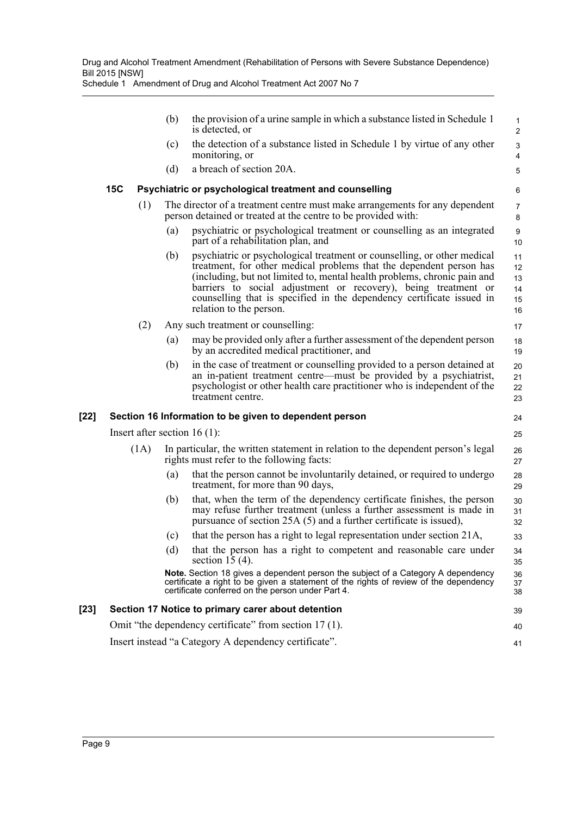|      |                                                             |      | (b) | the provision of a urine sample in which a substance listed in Schedule 1<br>is detected, or                                                                                                                                                                                                                                                                                                     | $\mathbf{1}$<br>$\overline{2}$   |  |
|------|-------------------------------------------------------------|------|-----|--------------------------------------------------------------------------------------------------------------------------------------------------------------------------------------------------------------------------------------------------------------------------------------------------------------------------------------------------------------------------------------------------|----------------------------------|--|
|      |                                                             |      | (c) | the detection of a substance listed in Schedule 1 by virtue of any other<br>monitoring, or                                                                                                                                                                                                                                                                                                       | 3<br>$\overline{4}$              |  |
|      |                                                             |      | (d) | a breach of section 20A.                                                                                                                                                                                                                                                                                                                                                                         | 5                                |  |
|      | <b>15C</b>                                                  |      |     | Psychiatric or psychological treatment and counselling                                                                                                                                                                                                                                                                                                                                           | 6                                |  |
|      |                                                             | (1)  |     | The director of a treatment centre must make arrangements for any dependent<br>person detained or treated at the centre to be provided with:                                                                                                                                                                                                                                                     | 7<br>8                           |  |
|      |                                                             |      | (a) | psychiatric or psychological treatment or counselling as an integrated<br>part of a rehabilitation plan, and                                                                                                                                                                                                                                                                                     | 9<br>10                          |  |
|      |                                                             |      | (b) | psychiatric or psychological treatment or counselling, or other medical<br>treatment, for other medical problems that the dependent person has<br>(including, but not limited to, mental health problems, chronic pain and<br>barriers to social adjustment or recovery), being treatment or<br>counselling that is specified in the dependency certificate issued in<br>relation to the person. | 11<br>12<br>13<br>14<br>15<br>16 |  |
|      |                                                             | (2)  |     | Any such treatment or counselling:                                                                                                                                                                                                                                                                                                                                                               | 17                               |  |
|      |                                                             |      | (a) | may be provided only after a further assessment of the dependent person<br>by an accredited medical practitioner, and                                                                                                                                                                                                                                                                            | 18<br>19                         |  |
|      |                                                             |      | (b) | in the case of treatment or counselling provided to a person detained at<br>an in-patient treatment centre—must be provided by a psychiatrist,<br>psychologist or other health care practitioner who is independent of the<br>treatment centre.                                                                                                                                                  | 20<br>21<br>22<br>23             |  |
| [22] |                                                             |      |     | Section 16 Information to be given to dependent person                                                                                                                                                                                                                                                                                                                                           | 24                               |  |
|      |                                                             |      |     | Insert after section 16 $(1)$ :                                                                                                                                                                                                                                                                                                                                                                  | 25                               |  |
|      |                                                             | (1A) |     | In particular, the written statement in relation to the dependent person's legal<br>rights must refer to the following facts:                                                                                                                                                                                                                                                                    | 26<br>27                         |  |
|      |                                                             |      | (a) | that the person cannot be involuntarily detained, or required to undergo<br>treatment, for more than 90 days,                                                                                                                                                                                                                                                                                    | 28<br>29                         |  |
|      |                                                             |      | (b) | that, when the term of the dependency certificate finishes, the person<br>may refuse further treatment (unless a further assessment is made in<br>pursuance of section 25A (5) and a further certificate is issued),                                                                                                                                                                             | 30<br>31<br>32                   |  |
|      |                                                             |      | (c) | that the person has a right to legal representation under section 21A,                                                                                                                                                                                                                                                                                                                           | 33                               |  |
|      |                                                             |      | (d) | that the person has a right to competent and reasonable care under<br>section 15 $(4)$ .                                                                                                                                                                                                                                                                                                         | 34<br>35                         |  |
|      |                                                             |      |     | <b>Note.</b> Section 18 gives a dependent person the subject of a Category A dependency<br>certificate a right to be given a statement of the rights of review of the dependency<br>certificate conferred on the person under Part 4.                                                                                                                                                            | 36<br>37<br>38                   |  |
| [23] |                                                             |      |     | Section 17 Notice to primary carer about detention                                                                                                                                                                                                                                                                                                                                               | 39                               |  |
|      |                                                             |      |     | Omit "the dependency certificate" from section 17 (1).                                                                                                                                                                                                                                                                                                                                           | 40                               |  |
|      | Insert instead "a Category A dependency certificate".<br>41 |      |     |                                                                                                                                                                                                                                                                                                                                                                                                  |                                  |  |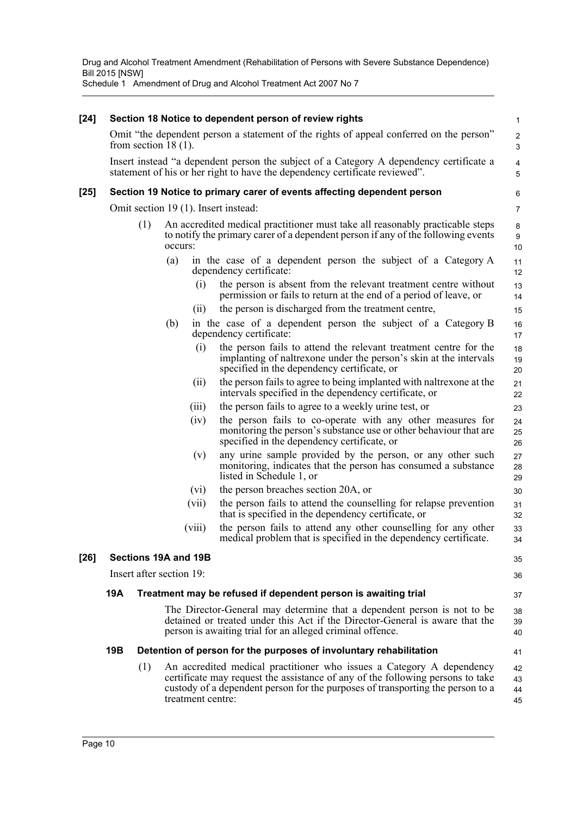| $[24]$ |     |     |                                                                | Section 18 Notice to dependent person of review rights                                                                                                                                                                                    | 1                    |  |  |  |
|--------|-----|-----|----------------------------------------------------------------|-------------------------------------------------------------------------------------------------------------------------------------------------------------------------------------------------------------------------------------------|----------------------|--|--|--|
|        |     |     | from section 18 $(1)$ .                                        | Omit "the dependent person a statement of the rights of appeal conferred on the person"                                                                                                                                                   | 2<br>3               |  |  |  |
|        |     |     |                                                                | Insert instead "a dependent person the subject of a Category A dependency certificate a<br>statement of his or her right to have the dependency certificate reviewed".                                                                    | 4<br>5               |  |  |  |
| $[25]$ |     |     |                                                                | Section 19 Notice to primary carer of events affecting dependent person                                                                                                                                                                   | 6                    |  |  |  |
|        |     |     | Omit section 19 (1). Insert instead:                           |                                                                                                                                                                                                                                           | 7                    |  |  |  |
|        |     | (1) | occurs:                                                        | An accredited medical practitioner must take all reasonably practicable steps<br>to notify the primary carer of a dependent person if any of the following events                                                                         | 8<br>9<br>10         |  |  |  |
|        |     |     | (a)                                                            | in the case of a dependent person the subject of a Category A<br>dependency certificate:                                                                                                                                                  | 11<br>12             |  |  |  |
|        |     |     | (i)                                                            | the person is absent from the relevant treatment centre without<br>permission or fails to return at the end of a period of leave, or                                                                                                      | 13<br>14             |  |  |  |
|        |     |     | (11)                                                           | the person is discharged from the treatment centre,                                                                                                                                                                                       | 15                   |  |  |  |
|        |     |     | (b)                                                            | in the case of a dependent person the subject of a Category B<br>dependency certificate:                                                                                                                                                  | 16<br>17             |  |  |  |
|        |     |     | (i)                                                            | the person fails to attend the relevant treatment centre for the<br>implanting of naltrexone under the person's skin at the intervals<br>specified in the dependency certificate, or                                                      | 18<br>19<br>20       |  |  |  |
|        |     |     | (11)                                                           | the person fails to agree to being implanted with naltrexone at the<br>intervals specified in the dependency certificate, or                                                                                                              | 21<br>22             |  |  |  |
|        |     |     | (iii)                                                          | the person fails to agree to a weekly urine test, or                                                                                                                                                                                      | 23                   |  |  |  |
|        |     |     | (iv)                                                           | the person fails to co-operate with any other measures for<br>monitoring the person's substance use or other behaviour that are<br>specified in the dependency certificate, or                                                            | 24<br>25<br>26       |  |  |  |
|        |     |     | (v)                                                            | any urine sample provided by the person, or any other such<br>monitoring, indicates that the person has consumed a substance<br>listed in Schedule 1, or                                                                                  | 27<br>28<br>29       |  |  |  |
|        |     |     | (vi)                                                           | the person breaches section 20A, or                                                                                                                                                                                                       | 30                   |  |  |  |
|        |     |     | (vii)                                                          | the person fails to attend the counselling for relapse prevention<br>that is specified in the dependency certificate, or                                                                                                                  | 31<br>32             |  |  |  |
|        |     |     | (viii)                                                         | the person fails to attend any other counselling for any other<br>medical problem that is specified in the dependency certificate.                                                                                                        | 33<br>34             |  |  |  |
| $[26]$ |     |     | Sections 19A and 19B                                           |                                                                                                                                                                                                                                           | 35                   |  |  |  |
|        |     |     | Insert after section 19:                                       |                                                                                                                                                                                                                                           | 36                   |  |  |  |
|        | 19A |     | Treatment may be refused if dependent person is awaiting trial |                                                                                                                                                                                                                                           |                      |  |  |  |
|        |     |     |                                                                | The Director-General may determine that a dependent person is not to be<br>detained or treated under this Act if the Director-General is aware that the<br>person is awaiting trial for an alleged criminal offence.                      | 38<br>39<br>40       |  |  |  |
|        | 19B |     |                                                                | Detention of person for the purposes of involuntary rehabilitation                                                                                                                                                                        | 41                   |  |  |  |
|        |     | (1) | treatment centre:                                              | An accredited medical practitioner who issues a Category A dependency<br>certificate may request the assistance of any of the following persons to take<br>custody of a dependent person for the purposes of transporting the person to a | 42<br>43<br>44<br>45 |  |  |  |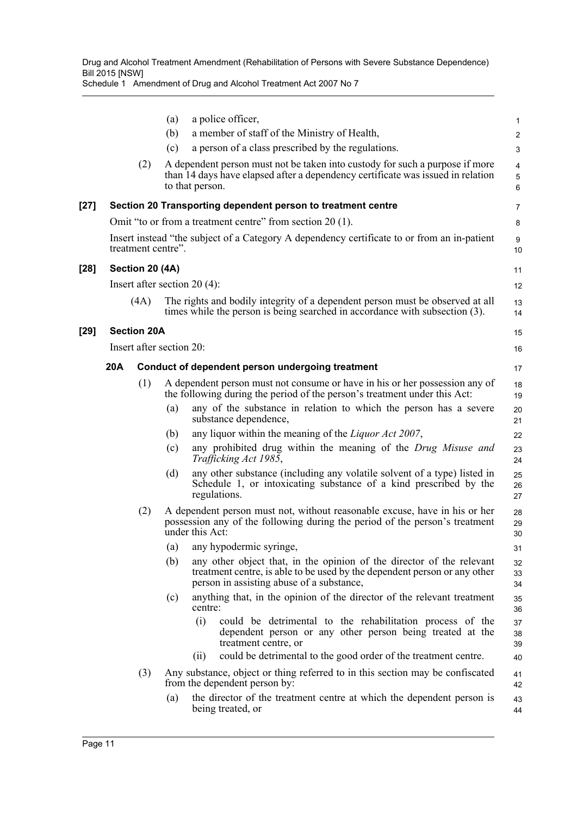|        |     |                          | (a) | a police officer,                                                                                                                                                                               | $\mathbf{1}$                        |
|--------|-----|--------------------------|-----|-------------------------------------------------------------------------------------------------------------------------------------------------------------------------------------------------|-------------------------------------|
|        |     |                          | (b) | a member of staff of the Ministry of Health,                                                                                                                                                    | $\overline{c}$                      |
|        |     |                          | (c) | a person of a class prescribed by the regulations.                                                                                                                                              | 3                                   |
|        |     | (2)                      |     | A dependent person must not be taken into custody for such a purpose if more<br>than 14 days have elapsed after a dependency certificate was issued in relation<br>to that person.              | 4<br>$\mathbf 5$<br>$6\phantom{1}6$ |
| $[27]$ |     |                          |     | Section 20 Transporting dependent person to treatment centre                                                                                                                                    | 7                                   |
|        |     |                          |     | Omit "to or from a treatment centre" from section 20 (1).                                                                                                                                       | 8                                   |
|        |     | treatment centre".       |     | Insert instead "the subject of a Category A dependency certificate to or from an in-patient                                                                                                     | 9<br>10                             |
| $[28]$ |     | Section 20 (4A)          |     |                                                                                                                                                                                                 | 11                                  |
|        |     |                          |     | Insert after section $20(4)$ :                                                                                                                                                                  | 12                                  |
|        |     | (4A)                     |     | The rights and bodily integrity of a dependent person must be observed at all<br>times while the person is being searched in accordance with subsection (3).                                    | 13<br>14                            |
| $[29]$ |     | <b>Section 20A</b>       |     |                                                                                                                                                                                                 | 15                                  |
|        |     | Insert after section 20: |     |                                                                                                                                                                                                 | 16                                  |
|        | 20A |                          |     | Conduct of dependent person undergoing treatment                                                                                                                                                | 17                                  |
|        |     | (1)                      |     | A dependent person must not consume or have in his or her possession any of<br>the following during the period of the person's treatment under this Act:                                        | 18<br>19                            |
|        |     |                          | (a) | any of the substance in relation to which the person has a severe<br>substance dependence,                                                                                                      | 20<br>21                            |
|        |     |                          | (b) | any liquor within the meaning of the Liquor Act 2007,                                                                                                                                           | 22                                  |
|        |     |                          | (c) | any prohibited drug within the meaning of the Drug Misuse and<br>Trafficking Act 1985,                                                                                                          | 23<br>24                            |
|        |     |                          | (d) | any other substance (including any volatile solvent of a type) listed in<br>Schedule 1, or intoxicating substance of a kind prescribed by the<br>regulations.                                   | 25<br>26<br>27                      |
|        |     | (2)                      |     | A dependent person must not, without reasonable excuse, have in his or her<br>possession any of the following during the period of the person's treatment<br>under this Act:                    | 28<br>29<br>30                      |
|        |     |                          | (a) | any hypodermic syringe,                                                                                                                                                                         | 31                                  |
|        |     |                          | (b) | any other object that, in the opinion of the director of the relevant<br>treatment centre, is able to be used by the dependent person or any other<br>person in assisting abuse of a substance, | 32<br>33<br>34                      |
|        |     |                          | (c) | anything that, in the opinion of the director of the relevant treatment<br>centre:                                                                                                              | 35<br>36                            |
|        |     |                          |     | (i)<br>could be detrimental to the rehabilitation process of the<br>dependent person or any other person being treated at the<br>treatment centre, or                                           | 37<br>38<br>39                      |
|        |     |                          |     | could be detrimental to the good order of the treatment centre.<br>(i)                                                                                                                          | 40                                  |
|        |     | (3)                      |     | Any substance, object or thing referred to in this section may be confiscated<br>from the dependent person by:                                                                                  | 41<br>42                            |
|        |     |                          | (a) | the director of the treatment centre at which the dependent person is<br>being treated, or                                                                                                      | 43<br>44                            |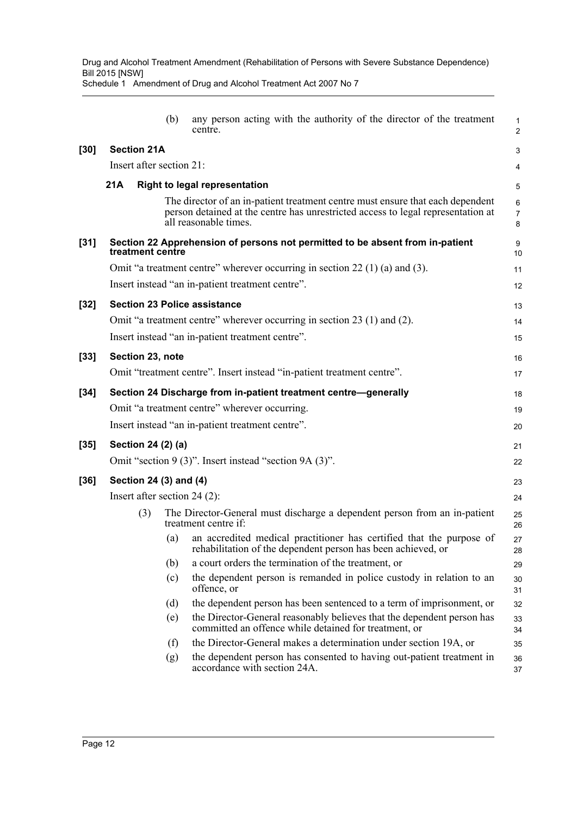|        |                                                                 |                          | (b) | any person acting with the authority of the director of the treatment<br>centre.                                                                                                            | $\mathbf{1}$<br>$\overline{2}$ |  |  |
|--------|-----------------------------------------------------------------|--------------------------|-----|---------------------------------------------------------------------------------------------------------------------------------------------------------------------------------------------|--------------------------------|--|--|
| $[30]$ |                                                                 | <b>Section 21A</b>       |     |                                                                                                                                                                                             | 3                              |  |  |
|        |                                                                 | Insert after section 21: |     |                                                                                                                                                                                             | 4                              |  |  |
|        | 21A                                                             |                          |     | <b>Right to legal representation</b>                                                                                                                                                        | 5                              |  |  |
|        |                                                                 |                          |     | The director of an in-patient treatment centre must ensure that each dependent<br>person detained at the centre has unrestricted access to legal representation at<br>all reasonable times. | 6<br>$\overline{7}$<br>8       |  |  |
| $[31]$ |                                                                 | treatment centre         |     | Section 22 Apprehension of persons not permitted to be absent from in-patient                                                                                                               | 9<br>10                        |  |  |
|        |                                                                 |                          |     | Omit "a treatment centre" wherever occurring in section $22(1)(a)$ and (3).                                                                                                                 | 11                             |  |  |
|        |                                                                 |                          |     | Insert instead "an in-patient treatment centre".                                                                                                                                            | 12                             |  |  |
| $[32]$ |                                                                 |                          |     | <b>Section 23 Police assistance</b>                                                                                                                                                         | 13                             |  |  |
|        |                                                                 |                          |     | Omit "a treatment centre" wherever occurring in section 23 (1) and (2).                                                                                                                     | 14                             |  |  |
|        |                                                                 |                          |     | Insert instead "an in-patient treatment centre".                                                                                                                                            | 15                             |  |  |
| $[33]$ |                                                                 | Section 23, note         |     |                                                                                                                                                                                             | 16                             |  |  |
|        |                                                                 |                          |     | Omit "treatment centre". Insert instead "in-patient treatment centre".                                                                                                                      | 17                             |  |  |
| $[34]$ | Section 24 Discharge from in-patient treatment centre-generally |                          |     |                                                                                                                                                                                             |                                |  |  |
|        | Omit "a treatment centre" wherever occurring.                   |                          |     |                                                                                                                                                                                             |                                |  |  |
|        | Insert instead "an in-patient treatment centre".                |                          |     |                                                                                                                                                                                             |                                |  |  |
| $[35]$ |                                                                 | Section 24 (2) (a)       |     |                                                                                                                                                                                             | 21                             |  |  |
|        | Omit "section 9 (3)". Insert instead "section 9A (3)".          |                          |     |                                                                                                                                                                                             |                                |  |  |
| $[36]$ |                                                                 | Section 24 (3) and (4)   |     |                                                                                                                                                                                             | 23                             |  |  |
|        |                                                                 |                          |     | Insert after section 24 (2):                                                                                                                                                                | 24                             |  |  |
|        |                                                                 | (3)                      |     | The Director-General must discharge a dependent person from an in-patient<br>treatment centre if:                                                                                           | 25<br>26                       |  |  |
|        |                                                                 |                          | (a) | an accredited medical practitioner has certified that the purpose of<br>rehabilitation of the dependent person has been achieved, or                                                        | 27<br>28                       |  |  |
|        |                                                                 |                          | (b) | a court orders the termination of the treatment, or                                                                                                                                         | 29                             |  |  |
|        |                                                                 |                          | (c) | the dependent person is remanded in police custody in relation to an<br>offence, or                                                                                                         | 30<br>31                       |  |  |
|        |                                                                 |                          | (d) | the dependent person has been sentenced to a term of imprisonment, or                                                                                                                       | 32                             |  |  |
|        |                                                                 |                          | (e) | the Director-General reasonably believes that the dependent person has<br>committed an offence while detained for treatment, or                                                             | 33<br>34                       |  |  |
|        |                                                                 |                          | (f) | the Director-General makes a determination under section 19A, or                                                                                                                            | 35                             |  |  |
|        |                                                                 |                          | (g) | the dependent person has consented to having out-patient treatment in<br>accordance with section 24A.                                                                                       | 36<br>37                       |  |  |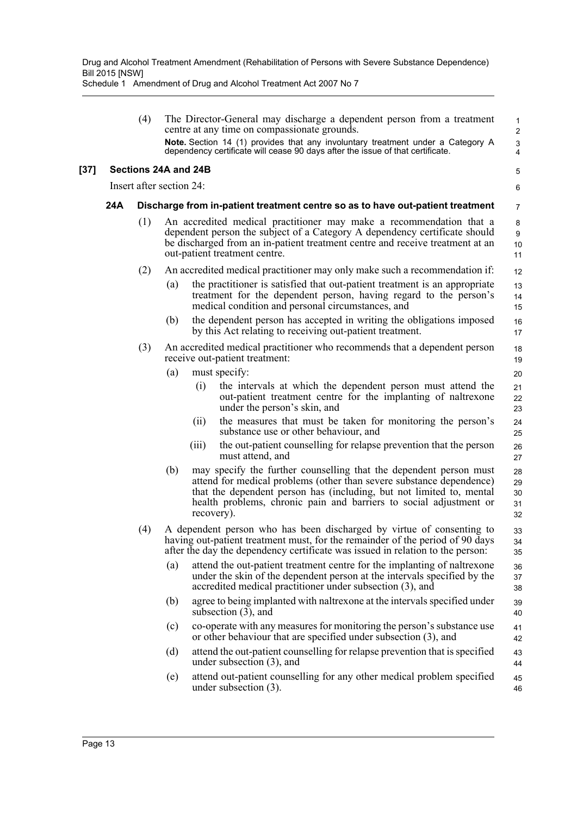|        |                          | (4) | The Director-General may discharge a dependent person from a treatment<br>centre at any time on compassionate grounds.<br>Note. Section 14 (1) provides that any involuntary treatment under a Category A<br>dependency certificate will cease 90 days after the issue of that certificate.                   | $\mathbf{1}$<br>$\overline{c}$<br>3<br>4 |
|--------|--------------------------|-----|---------------------------------------------------------------------------------------------------------------------------------------------------------------------------------------------------------------------------------------------------------------------------------------------------------------|------------------------------------------|
| $[37]$ |                          |     | Sections 24A and 24B                                                                                                                                                                                                                                                                                          | 5                                        |
|        | Insert after section 24: |     |                                                                                                                                                                                                                                                                                                               |                                          |
|        | 24A                      |     | Discharge from in-patient treatment centre so as to have out-patient treatment                                                                                                                                                                                                                                | 7                                        |
|        |                          | (1) | An accredited medical practitioner may make a recommendation that a<br>dependent person the subject of a Category A dependency certificate should<br>be discharged from an in-patient treatment centre and receive treatment at an<br>out-patient treatment centre.                                           | 8<br>9<br>10<br>11                       |
|        |                          | (2) | An accredited medical practitioner may only make such a recommendation if:                                                                                                                                                                                                                                    | 12                                       |
|        |                          |     | the practitioner is satisfied that out-patient treatment is an appropriate<br>(a)<br>treatment for the dependent person, having regard to the person's<br>medical condition and personal circumstances, and                                                                                                   | 13<br>14<br>15                           |
|        |                          |     | (b)<br>the dependent person has accepted in writing the obligations imposed<br>by this Act relating to receiving out-patient treatment.                                                                                                                                                                       | 16<br>17                                 |
|        |                          | (3) | An accredited medical practitioner who recommends that a dependent person<br>receive out-patient treatment:                                                                                                                                                                                                   | 18<br>19                                 |
|        |                          |     | (a)<br>must specify:                                                                                                                                                                                                                                                                                          | 20                                       |
|        |                          |     | (i)<br>the intervals at which the dependent person must attend the<br>out-patient treatment centre for the implanting of naltrexone<br>under the person's skin, and                                                                                                                                           | 21<br>22<br>23                           |
|        |                          |     | the measures that must be taken for monitoring the person's<br>(11)<br>substance use or other behaviour, and                                                                                                                                                                                                  | 24<br>25                                 |
|        |                          |     | the out-patient counselling for relapse prevention that the person<br>(iii)<br>must attend, and                                                                                                                                                                                                               | 26<br>27                                 |
|        |                          |     | (b)<br>may specify the further counselling that the dependent person must<br>attend for medical problems (other than severe substance dependence)<br>that the dependent person has (including, but not limited to, mental<br>health problems, chronic pain and barriers to social adjustment or<br>recovery). | 28<br>29<br>30<br>31<br>32               |
|        |                          | (4) | A dependent person who has been discharged by virtue of consenting to<br>having out-patient treatment must, for the remainder of the period of 90 days<br>after the day the dependency certificate was issued in relation to the person:                                                                      | 33<br>34<br>35                           |
|        |                          |     | attend the out-patient treatment centre for the implanting of naltrexone<br>(a)<br>under the skin of the dependent person at the intervals specified by the<br>accredited medical practitioner under subsection (3), and                                                                                      | 36<br>37<br>38                           |
|        |                          |     | agree to being implanted with naltrexone at the intervals specified under<br>(b)<br>subsection $(3)$ , and                                                                                                                                                                                                    | 39<br>40                                 |
|        |                          |     | co-operate with any measures for monitoring the person's substance use<br>(c)<br>or other behaviour that are specified under subsection (3), and                                                                                                                                                              | 41<br>42                                 |
|        |                          |     | attend the out-patient counselling for relapse prevention that is specified<br>(d)<br>under subsection $(3)$ , and                                                                                                                                                                                            | 43<br>44                                 |
|        |                          |     | attend out-patient counselling for any other medical problem specified<br>(e)<br>under subsection $(3)$ .                                                                                                                                                                                                     | 45<br>46                                 |
|        |                          |     |                                                                                                                                                                                                                                                                                                               |                                          |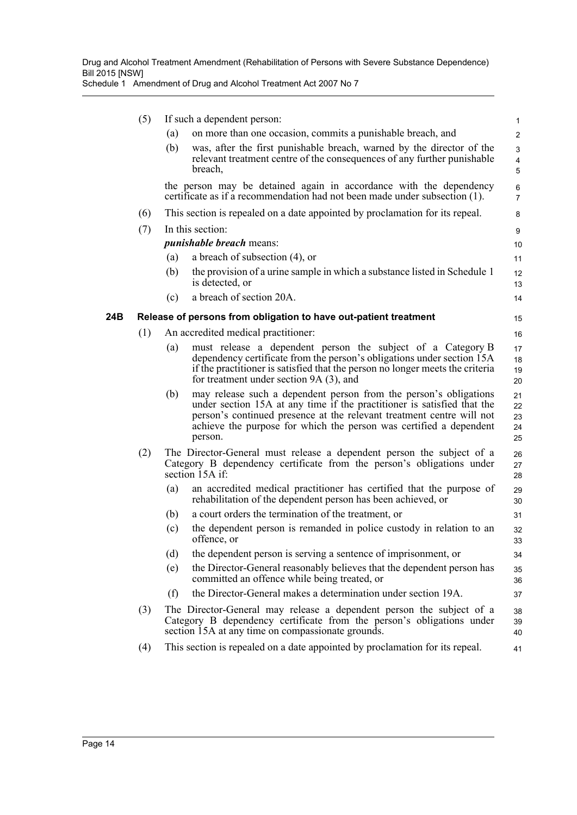|     | (5) | If such a dependent person:                                                                                                                                       |                                                                                                                                                                                                                                                                                                        |                            |
|-----|-----|-------------------------------------------------------------------------------------------------------------------------------------------------------------------|--------------------------------------------------------------------------------------------------------------------------------------------------------------------------------------------------------------------------------------------------------------------------------------------------------|----------------------------|
|     |     | (a)                                                                                                                                                               | on more than one occasion, commits a punishable breach, and                                                                                                                                                                                                                                            | $\overline{2}$             |
|     |     | (b)                                                                                                                                                               | was, after the first punishable breach, warned by the director of the<br>relevant treatment centre of the consequences of any further punishable<br>breach,                                                                                                                                            | 3<br>$\overline{4}$<br>5   |
|     |     |                                                                                                                                                                   | the person may be detained again in accordance with the dependency<br>certificate as if a recommendation had not been made under subsection (1).                                                                                                                                                       | 6<br>$\overline{7}$        |
|     | (6) |                                                                                                                                                                   | This section is repealed on a date appointed by proclamation for its repeal.                                                                                                                                                                                                                           | 8                          |
|     | (7) | In this section:                                                                                                                                                  |                                                                                                                                                                                                                                                                                                        | 9                          |
|     |     | <i>punishable breach</i> means:                                                                                                                                   |                                                                                                                                                                                                                                                                                                        |                            |
|     |     | (a)                                                                                                                                                               | a breach of subsection $(4)$ , or                                                                                                                                                                                                                                                                      | 11                         |
|     |     | (b)                                                                                                                                                               | the provision of a urine sample in which a substance listed in Schedule 1<br>is detected, or                                                                                                                                                                                                           | 12<br>13                   |
|     |     | (c)                                                                                                                                                               | a breach of section 20A.                                                                                                                                                                                                                                                                               | 14                         |
| 24B |     | Release of persons from obligation to have out-patient treatment                                                                                                  |                                                                                                                                                                                                                                                                                                        |                            |
|     | (1) |                                                                                                                                                                   | An accredited medical practitioner:                                                                                                                                                                                                                                                                    | 16                         |
|     |     | (a)                                                                                                                                                               | must release a dependent person the subject of a Category B<br>dependency certificate from the person's obligations under section 15A<br>if the practitioner is satisfied that the person no longer meets the criteria<br>for treatment under section 9A (3), and                                      | 17<br>18<br>19<br>20       |
|     |     | (b)                                                                                                                                                               | may release such a dependent person from the person's obligations<br>under section 15A at any time if the practitioner is satisfied that the<br>person's continued presence at the relevant treatment centre will not<br>achieve the purpose for which the person was certified a dependent<br>person. | 21<br>22<br>23<br>24<br>25 |
|     | (2) | The Director-General must release a dependent person the subject of a<br>Category B dependency certificate from the person's obligations under<br>section 15A if: |                                                                                                                                                                                                                                                                                                        | 26<br>27<br>28             |
|     |     | (a)                                                                                                                                                               | an accredited medical practitioner has certified that the purpose of<br>rehabilitation of the dependent person has been achieved, or                                                                                                                                                                   | 29<br>30                   |
|     |     | (b)                                                                                                                                                               | a court orders the termination of the treatment, or                                                                                                                                                                                                                                                    | 31                         |
|     |     | (c)                                                                                                                                                               | the dependent person is remanded in police custody in relation to an<br>offence, or                                                                                                                                                                                                                    | 32<br>33                   |
|     |     | (d)                                                                                                                                                               | the dependent person is serving a sentence of imprisonment, or                                                                                                                                                                                                                                         | 34                         |
|     |     | (e)                                                                                                                                                               | the Director-General reasonably believes that the dependent person has<br>committed an offence while being treated, or                                                                                                                                                                                 | 35<br>36                   |
|     |     | (f)                                                                                                                                                               | the Director-General makes a determination under section 19A.                                                                                                                                                                                                                                          | 37                         |
|     | (3) |                                                                                                                                                                   | The Director-General may release a dependent person the subject of a<br>Category B dependency certificate from the person's obligations under<br>section 15A at any time on compassionate grounds.                                                                                                     | 38<br>39<br>40             |
|     | (4) |                                                                                                                                                                   | This section is repealed on a date appointed by proclamation for its repeal.                                                                                                                                                                                                                           | 41                         |
|     |     |                                                                                                                                                                   |                                                                                                                                                                                                                                                                                                        |                            |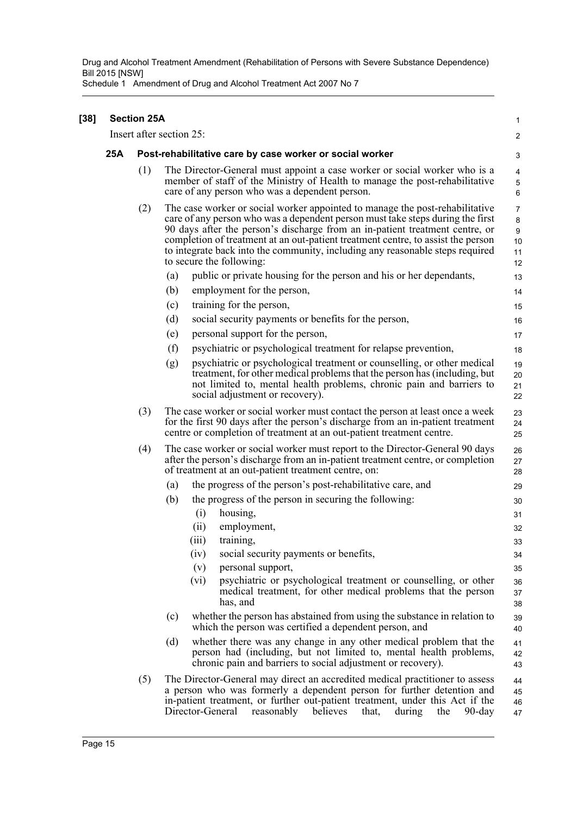| $[38]$ | <b>Section 25A</b> |                                                          |                                                                                                                                                                                                                                                                                                                                                                                                                                                 | 1                                                         |  |  |
|--------|--------------------|----------------------------------------------------------|-------------------------------------------------------------------------------------------------------------------------------------------------------------------------------------------------------------------------------------------------------------------------------------------------------------------------------------------------------------------------------------------------------------------------------------------------|-----------------------------------------------------------|--|--|
|        |                    | Insert after section 25:                                 |                                                                                                                                                                                                                                                                                                                                                                                                                                                 |                                                           |  |  |
|        | 25A                | Post-rehabilitative care by case worker or social worker |                                                                                                                                                                                                                                                                                                                                                                                                                                                 |                                                           |  |  |
|        |                    | (1)                                                      | The Director-General must appoint a case worker or social worker who is a<br>member of staff of the Ministry of Health to manage the post-rehabilitative<br>care of any person who was a dependent person.                                                                                                                                                                                                                                      | $\overline{\mathbf{4}}$<br>$\mathbf 5$<br>6               |  |  |
|        |                    | (2)                                                      | The case worker or social worker appointed to manage the post-rehabilitative<br>care of any person who was a dependent person must take steps during the first<br>90 days after the person's discharge from an in-patient treatment centre, or<br>completion of treatment at an out-patient treatment centre, to assist the person<br>to integrate back into the community, including any reasonable steps required<br>to secure the following: | $\overline{7}$<br>8<br>$\boldsymbol{9}$<br>10<br>11<br>12 |  |  |
|        |                    |                                                          | (a)<br>public or private housing for the person and his or her dependants,                                                                                                                                                                                                                                                                                                                                                                      | 13                                                        |  |  |
|        |                    |                                                          | (b)<br>employment for the person,                                                                                                                                                                                                                                                                                                                                                                                                               | 14                                                        |  |  |
|        |                    |                                                          | training for the person,<br>(c)                                                                                                                                                                                                                                                                                                                                                                                                                 | 15                                                        |  |  |
|        |                    |                                                          | (d)<br>social security payments or benefits for the person,                                                                                                                                                                                                                                                                                                                                                                                     | 16                                                        |  |  |
|        |                    |                                                          | personal support for the person,<br>(e)                                                                                                                                                                                                                                                                                                                                                                                                         | 17                                                        |  |  |
|        |                    |                                                          | (f)<br>psychiatric or psychological treatment for relapse prevention,                                                                                                                                                                                                                                                                                                                                                                           | 18                                                        |  |  |
|        |                    |                                                          | (g)<br>psychiatric or psychological treatment or counselling, or other medical<br>treatment, for other medical problems that the person has (including, but<br>not limited to, mental health problems, chronic pain and barriers to<br>social adjustment or recovery).                                                                                                                                                                          | 19<br>20<br>21<br>22                                      |  |  |
|        |                    | (3)                                                      | The case worker or social worker must contact the person at least once a week<br>for the first 90 days after the person's discharge from an in-patient treatment<br>centre or completion of treatment at an out-patient treatment centre.                                                                                                                                                                                                       | 23<br>24<br>25                                            |  |  |
|        |                    | (4)                                                      | The case worker or social worker must report to the Director-General 90 days<br>after the person's discharge from an in-patient treatment centre, or completion<br>of treatment at an out-patient treatment centre, on:                                                                                                                                                                                                                         | 26<br>27<br>28                                            |  |  |
|        |                    |                                                          | the progress of the person's post-rehabilitative care, and<br>(a)                                                                                                                                                                                                                                                                                                                                                                               | 29                                                        |  |  |
|        |                    |                                                          | the progress of the person in securing the following:<br>(b)                                                                                                                                                                                                                                                                                                                                                                                    | 30                                                        |  |  |
|        |                    |                                                          | (i)<br>housing,                                                                                                                                                                                                                                                                                                                                                                                                                                 | 31                                                        |  |  |
|        |                    |                                                          | employment,<br>(ii)                                                                                                                                                                                                                                                                                                                                                                                                                             | 32                                                        |  |  |
|        |                    |                                                          | (iii)<br>training,                                                                                                                                                                                                                                                                                                                                                                                                                              | 33                                                        |  |  |
|        |                    |                                                          | (iv)<br>social security payments or benefits,                                                                                                                                                                                                                                                                                                                                                                                                   | 34                                                        |  |  |
|        |                    |                                                          | (v)<br>personal support,                                                                                                                                                                                                                                                                                                                                                                                                                        | 35                                                        |  |  |
|        |                    |                                                          | psychiatric or psychological treatment or counselling, or other<br>(vi)<br>medical treatment, for other medical problems that the person<br>has, and                                                                                                                                                                                                                                                                                            | 36<br>37<br>38                                            |  |  |
|        |                    |                                                          | whether the person has abstained from using the substance in relation to<br>(c)<br>which the person was certified a dependent person, and                                                                                                                                                                                                                                                                                                       | 39<br>40                                                  |  |  |
|        |                    |                                                          | (d)<br>whether there was any change in any other medical problem that the<br>person had (including, but not limited to, mental health problems,<br>chronic pain and barriers to social adjustment or recovery).                                                                                                                                                                                                                                 | 41<br>42<br>43                                            |  |  |
|        |                    | (5)                                                      | The Director-General may direct an accredited medical practitioner to assess<br>a person who was formerly a dependent person for further detention and<br>in-patient treatment, or further out-patient treatment, under this Act if the<br>Director-General<br>reasonably believes<br>the<br>that,<br>during<br>$90$ -day                                                                                                                       | 44<br>45<br>46<br>47                                      |  |  |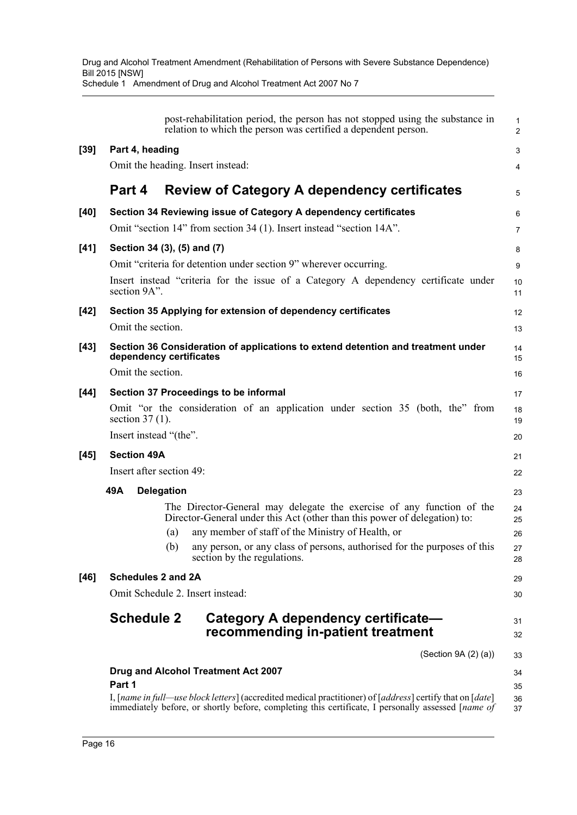|      | post-rehabilitation period, the person has not stopped using the substance in<br>relation to which the person was certified a dependent person.                                                                 | $\mathbf{1}$<br>$\overline{2}$ |  |  |  |
|------|-----------------------------------------------------------------------------------------------------------------------------------------------------------------------------------------------------------------|--------------------------------|--|--|--|
| [39] | Part 4, heading                                                                                                                                                                                                 | 3                              |  |  |  |
|      | Omit the heading. Insert instead:                                                                                                                                                                               | 4                              |  |  |  |
|      | Part 4<br><b>Review of Category A dependency certificates</b>                                                                                                                                                   | 5                              |  |  |  |
| [40] | Section 34 Reviewing issue of Category A dependency certificates                                                                                                                                                | 6                              |  |  |  |
|      | Omit "section 14" from section 34 (1). Insert instead "section 14A".                                                                                                                                            | 7                              |  |  |  |
| [41] | Section 34 (3), (5) and (7)                                                                                                                                                                                     | 8                              |  |  |  |
|      | Omit "criteria for detention under section 9" wherever occurring.                                                                                                                                               | 9                              |  |  |  |
|      | Insert instead "criteria for the issue of a Category A dependency certificate under<br>section 9A".                                                                                                             | 10<br>11                       |  |  |  |
| [42] | Section 35 Applying for extension of dependency certificates                                                                                                                                                    | 12                             |  |  |  |
|      | Omit the section.                                                                                                                                                                                               | 13                             |  |  |  |
| [43] | Section 36 Consideration of applications to extend detention and treatment under<br>dependency certificates                                                                                                     | 14<br>15                       |  |  |  |
|      | Omit the section.                                                                                                                                                                                               | 16                             |  |  |  |
| [44] | Section 37 Proceedings to be informal                                                                                                                                                                           | 17                             |  |  |  |
|      | Omit "or the consideration of an application under section 35 (both, the" from<br>section $37(1)$ .                                                                                                             | 18<br>19                       |  |  |  |
|      | Insert instead "(the".                                                                                                                                                                                          | 20                             |  |  |  |
| [45] | <b>Section 49A</b>                                                                                                                                                                                              |                                |  |  |  |
|      | Insert after section 49:                                                                                                                                                                                        | 22                             |  |  |  |
|      | 49A<br><b>Delegation</b>                                                                                                                                                                                        | 23                             |  |  |  |
|      | The Director-General may delegate the exercise of any function of the<br>Director-General under this Act (other than this power of delegation) to:                                                              | 24<br>25                       |  |  |  |
|      | any member of staff of the Ministry of Health, or<br>(a)                                                                                                                                                        | 26                             |  |  |  |
|      | any person, or any class of persons, authorised for the purposes of this<br>(b)<br>section by the regulations.                                                                                                  | 27<br>28                       |  |  |  |
| [46] | <b>Schedules 2 and 2A</b>                                                                                                                                                                                       |                                |  |  |  |
|      | Omit Schedule 2. Insert instead:                                                                                                                                                                                | 30                             |  |  |  |
|      | <b>Schedule 2</b><br>Category A dependency certificate-<br>recommending in-patient treatment                                                                                                                    | 31<br>32                       |  |  |  |
|      | (Section 9A (2) (a))                                                                                                                                                                                            | 33                             |  |  |  |
|      | Drug and Alcohol Treatment Act 2007                                                                                                                                                                             | 34                             |  |  |  |
|      | Part 1                                                                                                                                                                                                          | 35                             |  |  |  |
|      | I, [name in full—use block letters] (accredited medical practitioner) of [address] certify that on [date]<br>immediately before, or shortly before, completing this certificate, I personally assessed [name of | 36<br>37                       |  |  |  |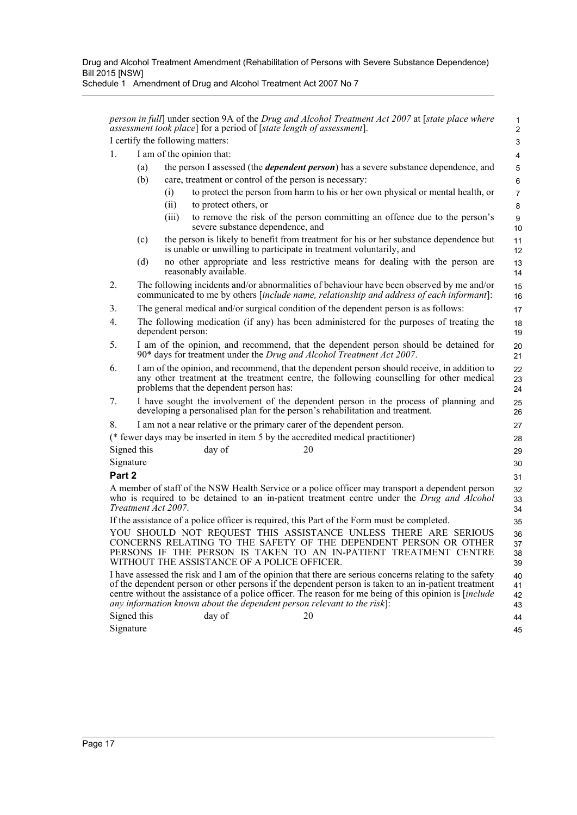*person in full*] under section 9A of the *Drug and Alcohol Treatment Act 2007* at [*state place where assessment took place*] for a period of [*state length of assessment*]. I certify the following matters:

 1 2

- 1. I am of the opinion that:
	- (a) the person I assessed (the *dependent person*) has a severe substance dependence, and
	- (b) care, treatment or control of the person is necessary:
		- (i) to protect the person from harm to his or her own physical or mental health, or
			- (ii) to protect others, or
			- (iii) to remove the risk of the person committing an offence due to the person's severe substance dependence, and
	- (c) the person is likely to benefit from treatment for his or her substance dependence but is unable or unwilling to participate in treatment voluntarily, and
	- (d) no other appropriate and less restrictive means for dealing with the person are reasonably available.

2. The following incidents and/or abnormalities of behaviour have been observed by me and/or communicated to me by others [*include name, relationship and address of each informant*]:

- 3. The general medical and/or surgical condition of the dependent person is as follows:
- 4. The following medication (if any) has been administered for the purposes of treating the dependent person:
- 5. I am of the opinion, and recommend, that the dependent person should be detained for 90\* days for treatment under the *Drug and Alcohol Treatment Act 2007*.
- 6. I am of the opinion, and recommend, that the dependent person should receive, in addition to any other treatment at the treatment centre, the following counselling for other medical problems that the dependent person has:
- 7. I have sought the involvement of the dependent person in the process of planning and developing a personalised plan for the person's rehabilitation and treatment.

## 8. I am not a near relative or the primary carer of the dependent person.

| (* fewer days may be inserted in item 5 by the accredited medical practitioner) |        |    |  |  |
|---------------------------------------------------------------------------------|--------|----|--|--|
| Signed this                                                                     | day of | 20 |  |  |
| Signature                                                                       |        |    |  |  |

### **Part 2**

A member of staff of the NSW Health Service or a police officer may transport a dependent person who is required to be detained to an in-patient treatment centre under the *Drug and Alcohol Treatment Act 2007*.

If the assistance of a police officer is required, this Part of the Form must be completed.

YOU SHOULD NOT REQUEST THIS ASSISTANCE UNLESS THERE ARE SERIOUS CONCERNS RELATING TO THE SAFETY OF THE DEPENDENT PERSON OR OTHER PERSONS IF THE PERSON IS TAKEN TO AN IN-PATIENT TREATMENT CENTRE WITHOUT THE ASSISTANCE OF A POLICE OFFICER. 35 36 37 38 39

I have assessed the risk and I am of the opinion that there are serious concerns relating to the safety of the dependent person or other persons if the dependent person is taken to an in-patient treatment centre without the assistance of a police officer. The reason for me being of this opinion is [*include any information known about the dependent person relevant to the risk*]: 40 41 42 43

Signed this day of 20 Signature 44 45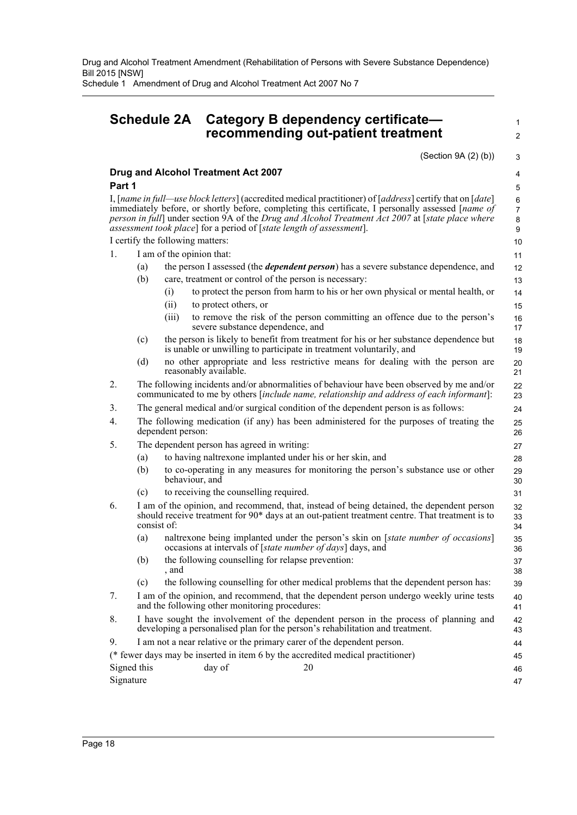Drug and Alcohol Treatment Amendment (Rehabilitation of Persons with Severe Substance Dependence) Bill 2015 [NSW] Schedule 1 Amendment of Drug and Alcohol Treatment Act 2007 No 7

## **Schedule 2A Category B dependency certificate recommending out-patient treatment**

 1  $\overline{2}$ 

(Section 9A (2) (b))

 3 4 5

44

### **Drug and Alcohol Treatment Act 2007 Part 1**

I, [*name in full—use block letters*] (accredited medical practitioner) of [*address*] certify that on [*date*] immediately before, or shortly before, completing this certificate, I personally assessed [*name of person in full*] under section 9A of the *Drug and Alcohol Treatment Act 2007* at [*state place where assessment took place*] for a period of [*state length of assessment*].

#### I certify the following matters: 1. I am of the opinion that:

- (a) the person I assessed (the *dependent person*) has a severe substance dependence, and
	- (b) care, treatment or control of the person is necessary:
		- (i) to protect the person from harm to his or her own physical or mental health, or
			- (ii) to protect others, or
			- (iii) to remove the risk of the person committing an offence due to the person's severe substance dependence, and
	- (c) the person is likely to benefit from treatment for his or her substance dependence but is unable or unwilling to participate in treatment voluntarily, and
	- (d) no other appropriate and less restrictive means for dealing with the person are reasonably available.

#### 2. The following incidents and/or abnormalities of behaviour have been observed by me and/or communicated to me by others [*include name, relationship and address of each informant*]:

- 3. The general medical and/or surgical condition of the dependent person is as follows:
- 4. The following medication (if any) has been administered for the purposes of treating the dependent person:
- 5. The dependent person has agreed in writing:
	- (a) to having naltrexone implanted under his or her skin, and
	- (b) to co-operating in any measures for monitoring the person's substance use or other behaviour, and
	- (c) to receiving the counselling required.
- 6. I am of the opinion, and recommend, that, instead of being detained, the dependent person should receive treatment for 90\* days at an out-patient treatment centre. That treatment is to consist of:
	- (a) naltrexone being implanted under the person's skin on [*state number of occasions*] occasions at intervals of [*state number of days*] days, and
	- (b) the following counselling for relapse prevention: , and
	- (c) the following counselling for other medical problems that the dependent person has:
- 7. I am of the opinion, and recommend, that the dependent person undergo weekly urine tests and the following other monitoring procedures:
- 8. I have sought the involvement of the dependent person in the process of planning and developing a personalised plan for the person's rehabilitation and treatment. 42 43
- 9. I am not a near relative or the primary carer of the dependent person.

(\* fewer days may be inserted in item 6 by the accredited medical practitioner) Signed this day of 20 Signature 45 46 47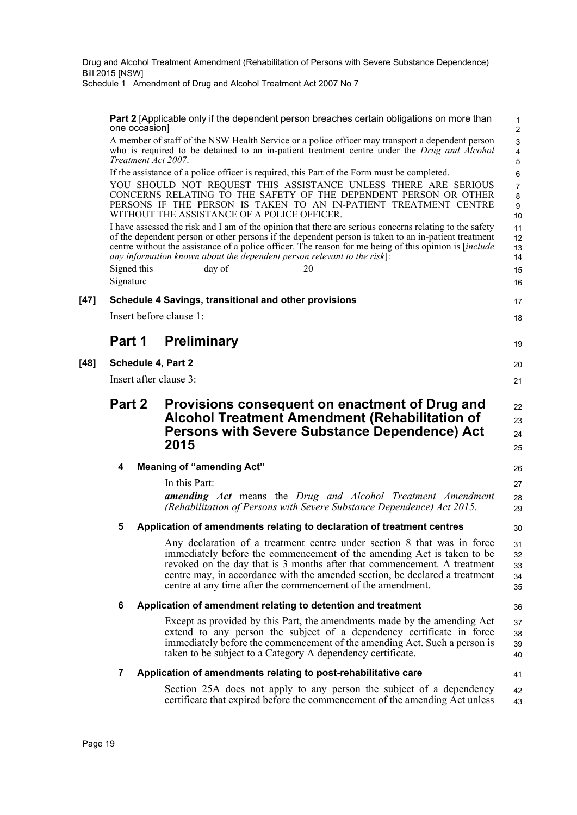**Part 2** [Applicable only if the dependent person breaches certain obligations on more than one occasion]

17 18

19

20 21

26 27

30

36

41

A member of staff of the NSW Health Service or a police officer may transport a dependent person who is required to be detained to an in-patient treatment centre under the *Drug and Alcohol Treatment Act 2007*.

If the assistance of a police officer is required, this Part of the Form must be completed.

YOU SHOULD NOT REQUEST THIS ASSISTANCE UNLESS THERE ARE SERIOUS CONCERNS RELATING TO THE SAFETY OF THE DEPENDENT PERSON OR OTHER PERSONS IF THE PERSON IS TAKEN TO AN IN-PATIENT TREATMENT CENTRE WITHOUT THE ASSISTANCE OF A POLICE OFFICER.

I have assessed the risk and I am of the opinion that there are serious concerns relating to the safety of the dependent person or other persons if the dependent person is taken to an in-patient treatment centre without the assistance of a police officer. The reason for me being of this opinion is [*include any information known about the dependent person relevant to the risk*]: Signed this day of 20

Signature

**[47] Schedule 4 Savings, transitional and other provisions**

Insert before clause 1:

## **Part 1 Preliminary**

**[48] Schedule 4, Part 2**

Insert after clause 3:

## **Part 2 Provisions consequent on enactment of Drug and Alcohol Treatment Amendment (Rehabilitation of Persons with Severe Substance Dependence) Act 2015**

## **4 Meaning of "amending Act"**

In this Part:

*amending Act* means the *Drug and Alcohol Treatment Amendment (Rehabilitation of Persons with Severe Substance Dependence) Act 2015*. 28 29

### **5 Application of amendments relating to declaration of treatment centres**

Any declaration of a treatment centre under section 8 that was in force immediately before the commencement of the amending Act is taken to be revoked on the day that is 3 months after that commencement. A treatment centre may, in accordance with the amended section, be declared a treatment centre at any time after the commencement of the amendment. 31 32 33 34 35

### **6 Application of amendment relating to detention and treatment**

Except as provided by this Part, the amendments made by the amending Act extend to any person the subject of a dependency certificate in force immediately before the commencement of the amending Act. Such a person is taken to be subject to a Category A dependency certificate. 37 38 39 40

### **7 Application of amendments relating to post-rehabilitative care**

Section 25A does not apply to any person the subject of a dependency certificate that expired before the commencement of the amending Act unless 42 43